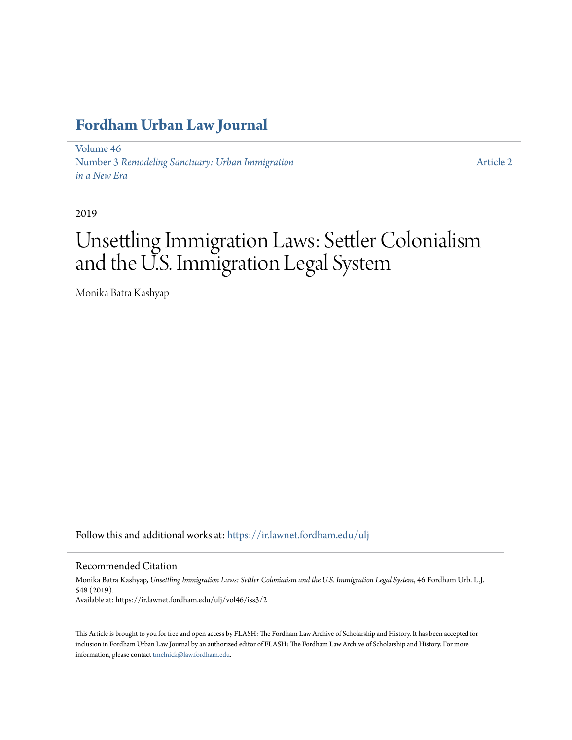# **[Fordham Urban Law Journal](https://ir.lawnet.fordham.edu/ulj?utm_source=ir.lawnet.fordham.edu%2Fulj%2Fvol46%2Fiss3%2F2&utm_medium=PDF&utm_campaign=PDFCoverPages)**

[Volume 46](https://ir.lawnet.fordham.edu/ulj/vol46?utm_source=ir.lawnet.fordham.edu%2Fulj%2Fvol46%2Fiss3%2F2&utm_medium=PDF&utm_campaign=PDFCoverPages) Number 3 *[Remodeling Sanctuary: Urban Immigration](https://ir.lawnet.fordham.edu/ulj/vol46/iss3?utm_source=ir.lawnet.fordham.edu%2Fulj%2Fvol46%2Fiss3%2F2&utm_medium=PDF&utm_campaign=PDFCoverPages) [in a New Era](https://ir.lawnet.fordham.edu/ulj/vol46/iss3?utm_source=ir.lawnet.fordham.edu%2Fulj%2Fvol46%2Fiss3%2F2&utm_medium=PDF&utm_campaign=PDFCoverPages)*

[Article 2](https://ir.lawnet.fordham.edu/ulj/vol46/iss3/2?utm_source=ir.lawnet.fordham.edu%2Fulj%2Fvol46%2Fiss3%2F2&utm_medium=PDF&utm_campaign=PDFCoverPages)

2019

# Unsettling Immigration Laws: Settler Colonialism and the U.S. Immigration Legal System

Monika Batra Kashyap

Follow this and additional works at: [https://ir.lawnet.fordham.edu/ulj](https://ir.lawnet.fordham.edu/ulj?utm_source=ir.lawnet.fordham.edu%2Fulj%2Fvol46%2Fiss3%2F2&utm_medium=PDF&utm_campaign=PDFCoverPages)

Recommended Citation

Monika Batra Kashyap, *Unsettling Immigration Laws: Settler Colonialism and the U.S. Immigration Legal System*, 46 Fordham Urb. L.J. 548 (2019). Available at: https://ir.lawnet.fordham.edu/ulj/vol46/iss3/2

This Article is brought to you for free and open access by FLASH: The Fordham Law Archive of Scholarship and History. It has been accepted for inclusion in Fordham Urban Law Journal by an authorized editor of FLASH: The Fordham Law Archive of Scholarship and History. For more information, please contact [tmelnick@law.fordham.edu](mailto:tmelnick@law.fordham.edu).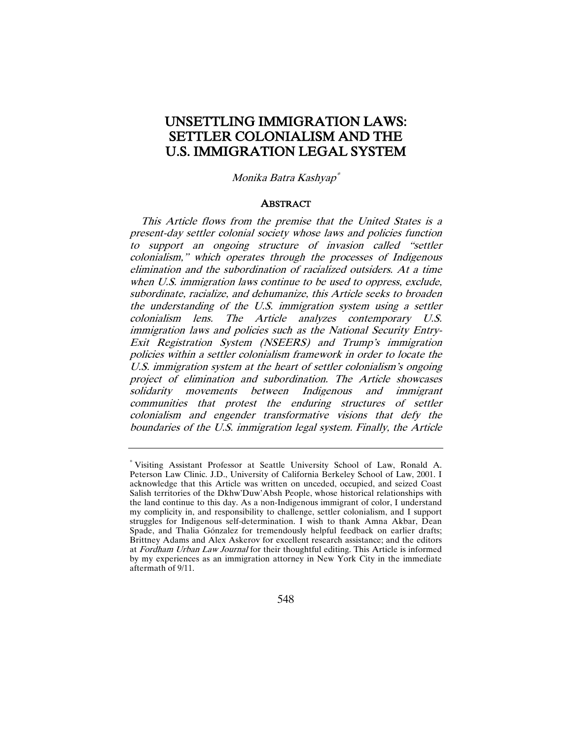# UNSETTLING IMMIGRATION LAWS: SETTLER COLONIALISM AND THE U.S. IMMIGRATION LEGAL SYSTEM

Monika Batra Kashyap[\\*](#page-1-0)

#### ABSTRACT

This Article flows from the premise that the United States is a present-day settler colonial society whose laws and policies function to support an ongoing structure of invasion called "settler colonialism," which operates through the processes of Indigenous elimination and the subordination of racialized outsiders. At a time when U.S. immigration laws continue to be used to oppress, exclude, subordinate, racialize, and dehumanize, this Article seeks to broaden the understanding of the U.S. immigration system using a settler colonialism lens. The Article analyzes contemporary U.S. immigration laws and policies such as the National Security Entry-Exit Registration System (NSEERS) and Trump's immigration policies within a settler colonialism framework in order to locate the U.S. immigration system at the heart of settler colonialism's ongoing project of elimination and subordination. The Article showcases solidarity movements between Indigenous and immigrant communities that protest the enduring structures of settler colonialism and engender transformative visions that defy the boundaries of the U.S. immigration legal system. Finally, the Article

<span id="page-1-0"></span><sup>\*</sup> Visiting Assistant Professor at Seattle University School of Law, Ronald A. Peterson Law Clinic. J.D., University of California Berkeley School of Law, 2001. I acknowledge that this Article was written on unceded, occupied, and seized Coast Salish territories of the Dkhw'Duw'Absh People, whose historical relationships with the land continue to this day. As a non-Indigenous immigrant of color, I understand my complicity in, and responsibility to challenge, settler colonialism, and I support struggles for Indigenous self-determination. I wish to thank Amna Akbar, Dean Spade, and Thalia Gónzalez for tremendously helpful feedback on earlier drafts; Brittney Adams and Alex Askerov for excellent research assistance; and the editors at Fordham Urban Law Journal for their thoughtful editing. This Article is informed by my experiences as an immigration attorney in New York City in the immediate aftermath of 9/11.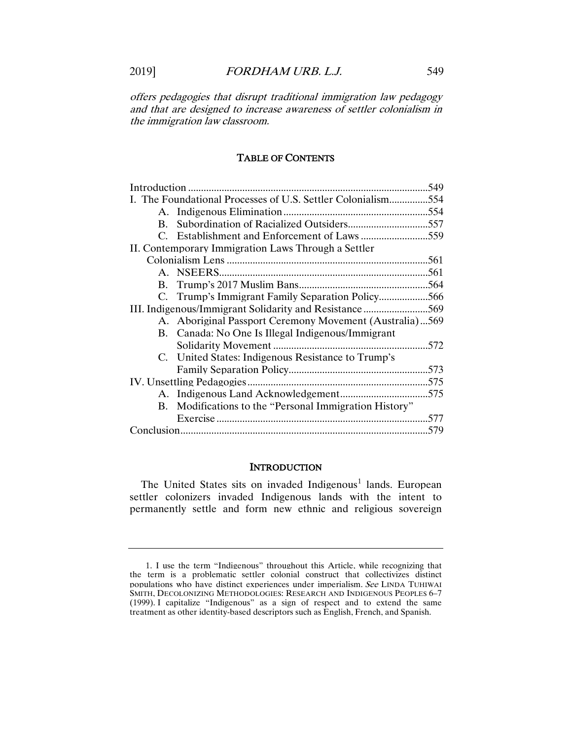offers pedagogies that disrupt traditional immigration law pedagogy and that are designed to increase awareness of settler colonialism in the immigration law classroom.

# TABLE OF CONTENTS

|                                                     |                                                              | .549 |
|-----------------------------------------------------|--------------------------------------------------------------|------|
|                                                     | I. The Foundational Processes of U.S. Settler Colonialism554 |      |
|                                                     |                                                              |      |
| $\mathbf{B}$ .                                      |                                                              |      |
|                                                     |                                                              |      |
| II. Contemporary Immigration Laws Through a Settler |                                                              |      |
|                                                     |                                                              |      |
|                                                     |                                                              |      |
|                                                     |                                                              |      |
|                                                     |                                                              |      |
|                                                     |                                                              |      |
|                                                     | A. Aboriginal Passport Ceremony Movement (Australia)569      |      |
|                                                     | B. Canada: No One Is Illegal Indigenous/Immigrant            |      |
|                                                     |                                                              |      |
|                                                     | C. United States: Indigenous Resistance to Trump's           |      |
|                                                     |                                                              |      |
|                                                     |                                                              |      |
|                                                     |                                                              |      |
|                                                     | B. Modifications to the "Personal Immigration History"       |      |
|                                                     |                                                              |      |
|                                                     |                                                              |      |

# **INTRODUCTION**

The United States sits on invaded  $\text{Indigenous}^1$  $\text{Indigenous}^1$  lands. European settler colonizers invaded Indigenous lands with the intent to permanently settle and form new ethnic and religious sovereign

<span id="page-2-0"></span><sup>1.</sup> I use the term "Indigenous" throughout this Article, while recognizing that the term is a problematic settler colonial construct that collectivizes distinct populations who have distinct experiences under imperialism. See LINDA TUHIWAI SMITH, DECOLONIZING METHODOLOGIES: RESEARCH AND INDIGENOUS PEOPLES 6–7 (1999). I capitalize "Indigenous" as a sign of respect and to extend the same treatment as other identity-based descriptors such as English, French, and Spanish.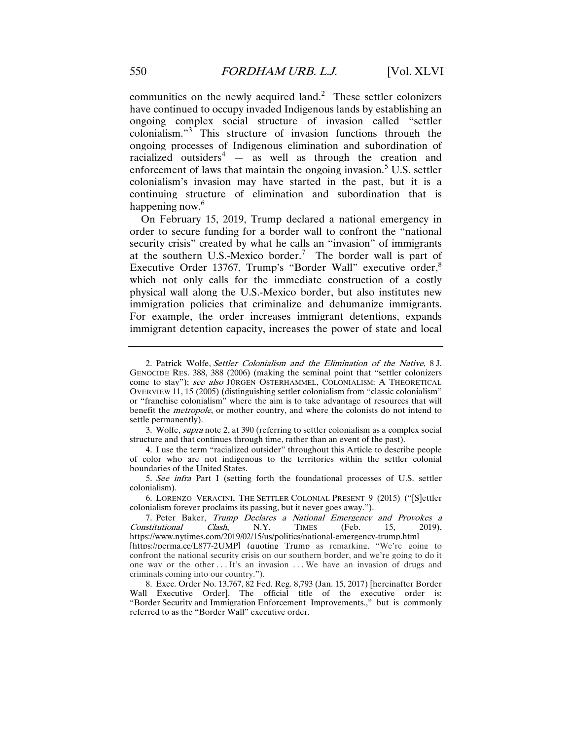communities on the newly acquired land.<sup>[2](#page-3-0)</sup> These settler colonizers have continued to occupy invaded Indigenous lands by establishing an ongoing complex social structure of invasion called "settler colonialism."[3](#page-3-1) This structure of invasion functions through the ongoing processes of Indigenous elimination and subordination of racialized outsiders<sup>[4](#page-3-2)</sup>  $-$  as well as through the creation and enforcement of laws that maintain the ongoing invasion.<sup>[5](#page-3-3)</sup> U.S. settler colonialism's invasion may have started in the past, but it is a continuing structure of elimination and subordination that is happening now.<sup>[6](#page-3-4)</sup>

On February 15, 2019, Trump declared a national emergency in order to secure funding for a border wall to confront the "national security crisis" created by what he calls an "invasion" of immigrants at the southern U.S.-Mexico border.<sup>[7](#page-3-5)</sup> The border wall is part of Executive Order 13767, Trump's "Border Wall" executive order,<sup>[8](#page-3-6)</sup> which not only calls for the immediate construction of a costly physical wall along the U.S.-Mexico border, but also institutes new immigration policies that criminalize and dehumanize immigrants. For example, the order increases immigrant detentions, expands immigrant detention capacity, increases the power of state and local

- <span id="page-3-2"></span>4. I use the term "racialized outsider" throughout this Article to describe people of color who are not indigenous to the territories within the settler colonial boundaries of the United States.
- <span id="page-3-3"></span>5. See infra Part I (setting forth the foundational processes of U.S. settler colonialism).

<span id="page-3-0"></span><sup>2.</sup> Patrick Wolfe, Settler Colonialism and the Elimination of the Native, 8 J. GENOCIDE RES. 388, 388 (2006) (making the seminal point that "settler colonizers come to stay"); see also JÜRGEN OSTERHAMMEL, COLONIALISM: A THEORETICAL OVERVIEW 11, 15 (2005) (distinguishing settler colonialism from "classic colonialism" or "franchise colonialism" where the aim is to take advantage of resources that will benefit the metropole, or mother country, and where the colonists do not intend to settle permanently).

<span id="page-3-1"></span><sup>3.</sup> Wolfe, supra note 2, at 390 (referring to settler colonialism as a complex social structure and that continues through time, rather than an event of the past).

<span id="page-3-4"></span><sup>6.</sup> LORENZO VERACINI, THE SETTLER COLONIAL PRESENT 9 (2015) ("[S]ettler colonialism forever proclaims its passing, but it never goes away.").

<span id="page-3-5"></span><sup>7.</sup> Peter Baker, Trump Declares a National Emergency and Provokes a Constitutional Clash, N.Y. TIMES (Feb. 15, 2019), https://www.nytimes.com/2019/02/15/us/politics/national-emergency-trump.html [https://perma.cc/L877-2UMP] (quoting Trump as remarking, "We're going to confront the national security crisis on our southern border, and we're going to do it one way or the other . . . It's an invasion . . . We have an invasion of drugs and criminals coming into our country.").

<span id="page-3-6"></span><sup>8.</sup> Exec. Order No. 13,767, 82 Fed. Reg. 8,793 (Jan. 15, 2017) [hereinafter Border Wall Executive Order]. The official title of the executive order is: "Border Security and Immigration Enforcement Improvements.," but is commonly referred to as the "Border Wall" executive order.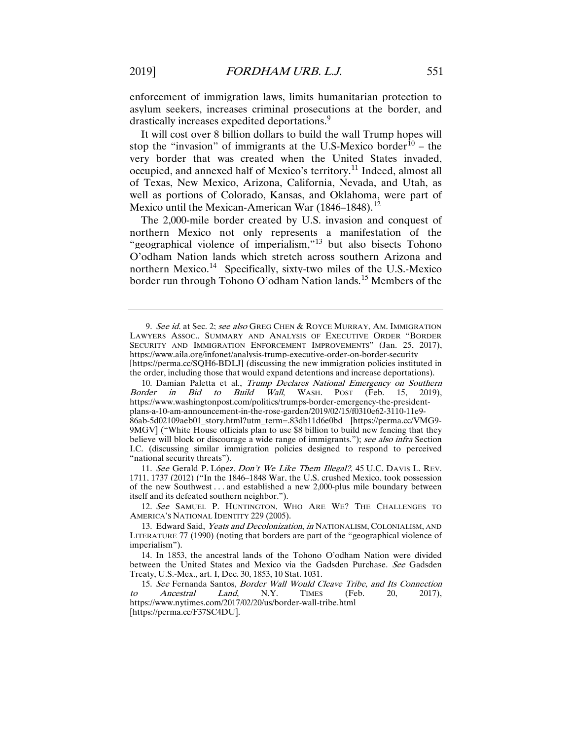enforcement of immigration laws, limits humanitarian protection to asylum seekers, increases criminal prosecutions at the border, and drastically increases expedited deportations.<sup>[9](#page-4-0)</sup>

It will cost over 8 billion dollars to build the wall Trump hopes will stop the "invasion" of immigrants at the U.S-Mexico border $\hat{10}$  $\hat{10}$  $\hat{10}$  – the very border that was created when the United States invaded, occupied, and annexed half of Mexico's territory.[11](#page-4-2) Indeed, almost all of Texas, New Mexico, Arizona, California, Nevada, and Utah, as well as portions of Colorado, Kansas, and Oklahoma, were part of Mexico until the Mexican-American War  $(1846-1848).$ <sup>[12](#page-4-3)</sup>

The 2,000-mile border created by U.S. invasion and conquest of northern Mexico not only represents a manifestation of the "geographical violence of imperialism,"[13](#page-4-4) but also bisects Tohono O'odham Nation lands which stretch across southern Arizona and northern Mexico.<sup>14</sup> Specifically, sixty-two miles of the U.S.-Mexico border run through Tohono O'odham Nation lands.<sup>[15](#page-4-6)</sup> Members of the

<span id="page-4-2"></span>11. See Gerald P. López, Don't We Like Them Illegal?, 45 U.C. DAVIS L. REV. 1711, 1737 (2012) ("In the 1846–1848 War, the U.S. crushed Mexico, took possession of the new Southwest . . . and established a new 2,000-plus mile boundary between itself and its defeated southern neighbor.").

<span id="page-4-3"></span>12. See SAMUEL P. HUNTINGTON, WHO ARE WE? THE CHALLENGES TO AMERICA'S NATIONAL IDENTITY 229 (2005).

<span id="page-4-0"></span><sup>9.</sup> See id. at Sec. 2; see also GREG CHEN & ROYCE MURRAY, AM. IMMIGRATION LAWYERS ASSOC., SUMMARY AND ANALYSIS OF EXECUTIVE ORDER "BORDER SECURITY AND IMMIGRATION ENFORCEMENT IMPROVEMENTS" (Jan. 25, 2017), https://www.aila.org/infonet/analysis-trump-executive-order-on-border-security [https://perma.cc/SQH6-BDLJ] (discussing the new immigration policies instituted in the order, including those that would expand detentions and increase deportations).

<span id="page-4-1"></span><sup>10.</sup> Damian Paletta et al., *Trump Declares National Emergency on Southern*<br>rder *in Bid to Build Wall*. WASH. POST (Feb. 15, 2019). Border in Bid to Build Wall, WASH. POST (Feb. 15, 2019), https://www.washingtonpost.com/politics/trumps-border-emergency-the-presidentplans-a-10-am-announcement-in-the-rose-garden/2019/02/15/f0310e62-3110-11e9- 86ab-5d02109aeb01\_story.html?utm\_term=.83db11d6e0bd [https://perma.cc/VMG9- 9MGV] ("White House officials plan to use \$8 billion to build new fencing that they believe will block or discourage a wide range of immigrants."); see also intra Section I.C. (discussing similar immigration policies designed to respond to perceived "national security threats").

<span id="page-4-4"></span><sup>13.</sup> Edward Said, Yeats and Decolonization, in NATIONALISM, COLONIALISM, AND LITERATURE 77 (1990) (noting that borders are part of the "geographical violence of imperialism").

<span id="page-4-5"></span><sup>14.</sup> In 1853, the ancestral lands of the Tohono O'odham Nation were divided between the United States and Mexico via the Gadsden Purchase. See Gadsden Treaty, U.S.-Mex., art. I, Dec. 30, 1853, 10 Stat. 1031.

<span id="page-4-6"></span><sup>15.</sup> See Fernanda Santos, *Border Wall Would Cleave Tribe, and Its Connection Ancestral Land*, N.Y. TIMES (Feb. 20. 2017). to Ancestral Land, N.Y. TIMES (Feb. 20, 2017), https://www.nytimes.com/2017/02/20/us/border-wall-tribe.html [https://perma.cc/F37SC4DU].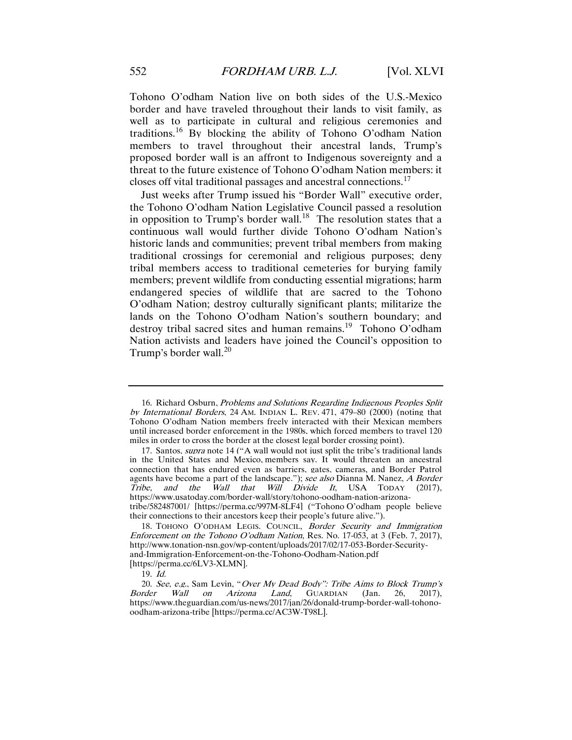Tohono O'odham Nation live on both sides of the U.S.-Mexico border and have traveled throughout their lands to visit family, as well as to participate in cultural and religious ceremonies and traditions.[16](#page-5-0) By blocking the ability of Tohono O'odham Nation members to travel throughout their ancestral lands, Trump's proposed border wall is an affront to Indigenous sovereignty and a threat to the future existence of Tohono O'odham Nation members: it closes off vital traditional passages and ancestral connections.[17](#page-5-1)

Just weeks after Trump issued his "Border Wall" executive order, the Tohono O'odham Nation Legislative Council passed a resolution in opposition to Trump's border wall.<sup>[18](#page-5-2)</sup> The resolution states that a continuous wall would further divide Tohono O'odham Nation's historic lands and communities; prevent tribal members from making traditional crossings for ceremonial and religious purposes; deny tribal members access to traditional cemeteries for burying family members; prevent wildlife from conducting essential migrations; harm endangered species of wildlife that are sacred to the Tohono O'odham Nation; destroy culturally significant plants; militarize the lands on the Tohono O'odham Nation's southern boundary; and destroy tribal sacred sites and human remains.<sup>19</sup> Tohono O'odham Nation activists and leaders have joined the Council's opposition to Trump's border wall. $^{20}$  $^{20}$  $^{20}$ 

<span id="page-5-0"></span><sup>16.</sup> Richard Osburn, Problems and Solutions Regarding Indigenous Peoples Split by International Borders, 24 AM. INDIAN L. REV. 471, 479–80 (2000) (noting that Tohono O'odham Nation members freely interacted with their Mexican members until increased border enforcement in the 1980s, which forced members to travel 120 miles in order to cross the border at the closest legal border crossing point).

<span id="page-5-1"></span><sup>17.</sup> Santos, supra note 14 ("A wall would not just split the tribe's traditional lands in the United States and Mexico, members say. It would threaten an ancestral connection that has endured even as barriers, gates, cameras, and Border Patrol agents have become a part of the landscape."); see also Dianna M. Nanez, A Border Tribe, and the Wall that Will Divide It, USA TODAY (2017), https://www.usatoday.com/border-wall/story/tohono-oodham-nation-arizonatribe/582487001/ [https://perma.cc/997M-8LF4] ("Tohono O'odham people believe their connections to their ancestors keep their people's future alive.").

<span id="page-5-2"></span><sup>18.</sup> TOHONO O'ODHAM LEGIS. COUNCIL, Border Security and Immigration Enforcement on the Tohono O'odham Nation, Res. No. 17-053, at 3 (Feb. 7, 2017), http://www.tonation-nsn.gov/wp-content/uploads/2017/02/17-053-Border-Securityand-Immigration-Enforcement-on-the-Tohono-Oodham-Nation.pdf [https://perma.cc/6LV3-XLMN].

<sup>19.</sup> Id.

<span id="page-5-4"></span><span id="page-5-3"></span><sup>20.</sup> See, e.g., Sam Levin, "Over My Dead Body": Tribe Aims to Block Trump's Border Wall on Arizona Land, GUARDIAN (Jan. 26, 2017), https://www.theguardian.com/us-news/2017/jan/26/donald-trump-border-wall-tohonooodham-arizona-tribe [https://perma.cc/AC3W-T98L].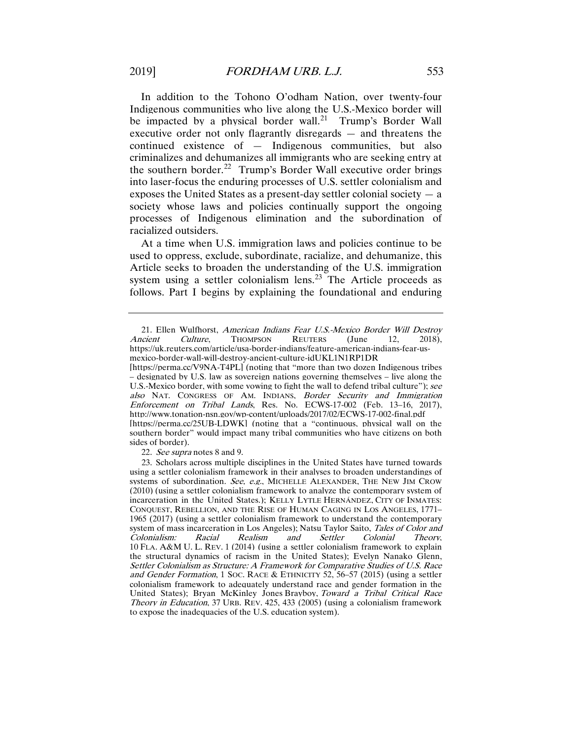In addition to the Tohono O'odham Nation, over twenty-four Indigenous communities who live along the U.S.-Mexico border will be impacted by a physical border wall.<sup>21</sup> Trump's Border Wall executive order not only flagrantly disregards — and threatens the continued existence of — Indigenous communities, but also criminalizes and dehumanizes all immigrants who are seeking entry at the southern border.<sup>22</sup> Trump's Border Wall executive order brings into laser-focus the enduring processes of U.S. settler colonialism and exposes the United States as a present-day settler colonial society  $-$  a society whose laws and policies continually support the ongoing processes of Indigenous elimination and the subordination of racialized outsiders.

At a time when U.S. immigration laws and policies continue to be used to oppress, exclude, subordinate, racialize, and dehumanize, this Article seeks to broaden the understanding of the U.S. immigration system using a settler colonialism lens.<sup>[23](#page-6-2)</sup> The Article proceeds as follows. Part I begins by explaining the foundational and enduring

[https://perma.cc/V9NA-T4PL] (noting that "more than two dozen Indigenous tribes – designated by U.S. law as sovereign nations governing themselves – live along the U.S.-Mexico border, with some vowing to fight the wall to defend tribal culture"); see also NAT. CONGRESS OF AM. INDIANS, Border Security and Immigration Enforcement on Tribal Lands, Res. No. ECWS-17-002 (Feb. 13–16, 2017), http://www.tonation-nsn.gov/wp-content/uploads/2017/02/ECWS-17-002-final.pdf [https://perma.cc/25UB-LDWK] (noting that a "continuous, physical wall on the southern border" would impact many tribal communities who have citizens on both sides of border).

22. See supra notes 8 and 9.

<span id="page-6-0"></span><sup>21.</sup> Ellen Wulfhorst, American Indians Fear U.S.-Mexico Border Will Destroy cient Culture, THOMPSON REUTERS (June 12, 2018), Ancient Culture, Thompson Reuters (June 12, 2018), https://uk.reuters.com/article/usa-border-indians/feature-american-indians-fear-usmexico-border-wall-will-destroy-ancient-culture-idUKL1N1RP1DR

<span id="page-6-2"></span><span id="page-6-1"></span><sup>23.</sup> Scholars across multiple disciplines in the United States have turned towards using a settler colonialism framework in their analyses to broaden understandings of systems of subordination. See, e.g., MICHELLE ALEXANDER, THE NEW JIM CROW (2010) (using a settler colonialism framework to analyze the contemporary system of incarceration in the United States.); KELLY LYTLE HERNÁNDEZ, CITY OF INMATES: CONQUEST, REBELLION, AND THE RISE OF HUMAN CAGING IN LOS ANGELES, 1771– 1965 (2017) (using a settler colonialism framework to understand the contemporary system of mass incarceration in Los Angeles); Natsu Taylor Saito, *Tales of Color and*<br>Colonialism: Racial Realism and Settler Colonial Theory. Colonialism: Racial Realism and Settler Colonial Theory, 10 FLA. A&M U. L. REV. 1 (2014) (using a settler colonialism framework to explain the structural dynamics of racism in the United States); Evelyn Nanako Glenn, Settler Colonialism as Structure: A Framework for Comparative Studies of U.S. Race and Gender Formation, 1 Soc. RACE & ETHNICITY 52, 56–57 (2015) (using a settler colonialism framework to adequately understand race and gender formation in the United States); Bryan McKinley Jones Brayboy, Toward <sup>a</sup> Tribal Critical Race Theory in Education, 37 URB. REV. 425, 433 (2005) (using a colonialism framework to expose the inadequacies of the U.S. education system).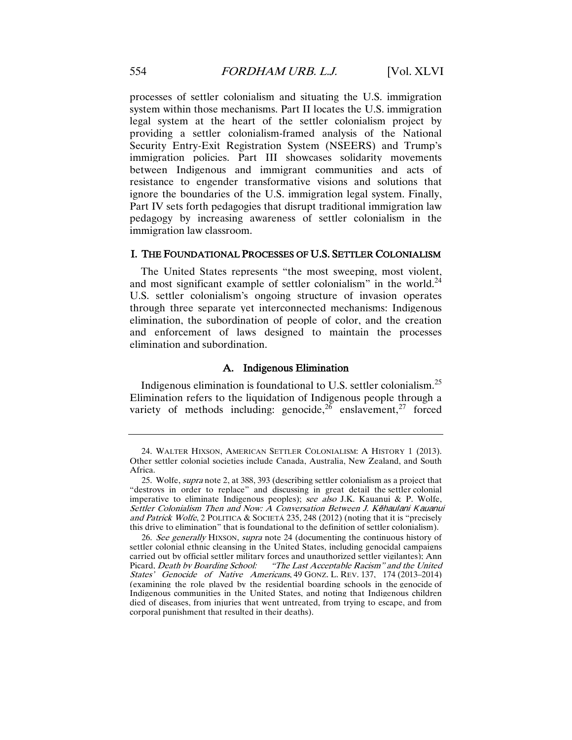processes of settler colonialism and situating the U.S. immigration system within those mechanisms. Part II locates the U.S. immigration legal system at the heart of the settler colonialism project by providing a settler colonialism-framed analysis of the National Security Entry-Exit Registration System (NSEERS) and Trump's immigration policies. Part III showcases solidarity movements between Indigenous and immigrant communities and acts of resistance to engender transformative visions and solutions that ignore the boundaries of the U.S. immigration legal system. Finally, Part IV sets forth pedagogies that disrupt traditional immigration law pedagogy by increasing awareness of settler colonialism in the immigration law classroom.

# I. THE FOUNDATIONAL PROCESSES OF U.S. SETTLER COLONIALISM

The United States represents "the most sweeping, most violent, and most significant example of settler colonialism" in the world.<sup>[24](#page-7-0)</sup> U.S. settler colonialism's ongoing structure of invasion operates through three separate yet interconnected mechanisms: Indigenous elimination, the subordination of people of color, and the creation and enforcement of laws designed to maintain the processes elimination and subordination.

# A. Indigenous Elimination

<span id="page-7-3"></span>Indigenous elimination is foundational to U.S. settler colonialism.[25](#page-7-1) Elimination refers to the liquidation of Indigenous people through a variety of methods including: genocide,  $^{26}$  $^{26}$  $^{26}$  enslavement, <sup>[27](#page-7-3)</sup> forced

<span id="page-7-0"></span><sup>24.</sup> WALTER HIXSON, AMERICAN SETTLER COLONIALISM: A HISTORY 1 (2013). Other settler colonial societies include Canada, Australia, New Zealand, and South Africa.

<span id="page-7-1"></span><sup>25.</sup> Wolfe, supra note 2, at 388, 393 (describing settler colonialism as a project that "destroys in order to replace" and discussing in great detail the settler colonial imperative to eliminate Indigenous peoples); see also J.K. Kauanui & P. Wolfe, Settler Colonialism Then and Now: A Conversation Between J. Kēhaulani Kauanui and Patrick Wolfe, 2 POLITICA & SOCIETÁ 235, 248 (2012) (noting that it is "precisely this drive to elimination" that is foundational to the definition of settler colonialism).

<span id="page-7-2"></span><sup>26.</sup> See generally HIXSON, supra note 24 (documenting the continuous history of settler colonial ethnic cleansing in the United States, including genocidal campaigns carried out by official settler military forces and unauthorized settler vigilantes): Ann<br>Picard, *Death by Boarding School:* "The Last Acceptable Racism" and the United "The Last Acceptable Racism" and the United States' Genocide of Native Americans, 49 GONZ. L. REV. 137, 174 (2013–2014) (examining the role played by the residential boarding schools in the genocide of Indigenous communities in the United States, and noting that Indigenous children died of diseases, from injuries that went untreated, from trying to escape, and from corporal punishment that resulted in their deaths).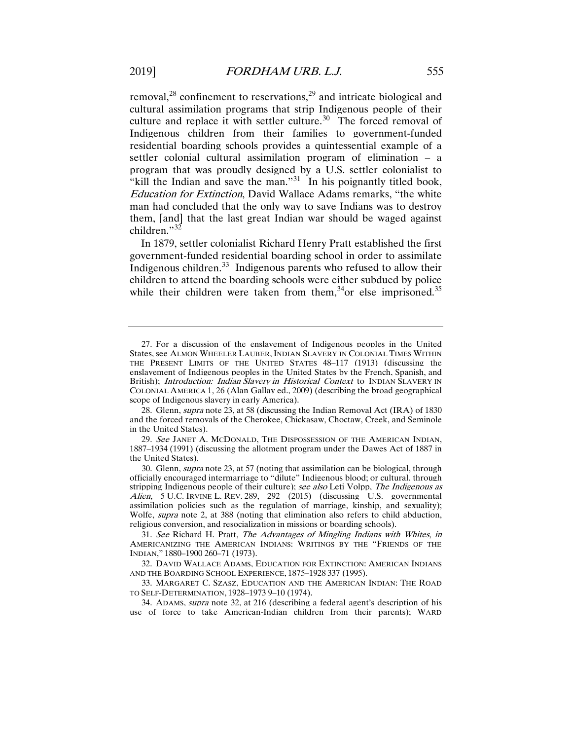removal,<sup>[28](#page-8-0)</sup> confinement to reservations,<sup>[29](#page-8-1)</sup> and intricate biological and cultural assimilation programs that strip Indigenous people of their culture and replace it with settler culture.<sup>[30](#page-8-2)</sup> The forced removal of Indigenous children from their families to government-funded residential boarding schools provides a quintessential example of a settler colonial cultural assimilation program of elimination – a program that was proudly designed by a U.S. settler colonialist to "kill the Indian and save the man."<sup>31</sup> In his poignantly titled book, Education for Extinction, David Wallace Adams remarks, "the white man had concluded that the only way to save Indians was to destroy them, [and] that the last great Indian war should be waged against children."<sup>[32](#page-8-4)</sup>

In 1879, settler colonialist Richard Henry Pratt established the first government-funded residential boarding school in order to assimilate Indigenous children.<sup>[33](#page-8-5)</sup> Indigenous parents who refused to allow their children to attend the boarding schools were either subdued by police while their children were taken from them,<sup>34</sup>or else imprisoned.<sup>35</sup>

<span id="page-8-7"></span><sup>27.</sup> For a discussion of the enslavement of Indigenous peoples in the United States, see ALMON WHEELER LAUBER,INDIAN SLAVERY IN COLONIAL TIMES WITHIN THE PRESENT LIMITS OF THE UNITED STATES 48–117 (1913) (discussing the enslavement of Indigenous peoples in the United States by the French, Spanish, and British); *Introduction: Indian Slavery in Historical Context* to INDIAN SLAVERY IN COLONIAL AMERICA 1, 26 (Alan Gallay ed., 2009) (describing the broad geographical scope of Indigenous slavery in early America).

<span id="page-8-0"></span><sup>28.</sup> Glenn, *supra* note 23, at 58 (discussing the Indian Removal Act (IRA) of 1830 and the forced removals of the Cherokee, Chickasaw, Choctaw, Creek, and Seminole in the United States).

<span id="page-8-1"></span><sup>29.</sup> See JANET A. MCDONALD, THE DISPOSSESSION OF THE AMERICAN INDIAN, 1887–1934 (1991) (discussing the allotment program under the Dawes Act of 1887 in the United States).

<span id="page-8-2"></span><sup>30.</sup> Glenn, supra note 23, at 57 (noting that assimilation can be biological, through officially encouraged intermarriage to "dilute" Indigenous blood; or cultural, through stripping Indigenous people of their culture); see also Leti Volpp, The Indigenous as Alien, 5 U.C. IRVINE L. REV. 289, 292 (2015) (discussing U.S. governmental assimilation policies such as the regulation of marriage, kinship, and sexuality); Wolfe, *supra* note 2, at 388 (noting that elimination also refers to child abduction, religious conversion, and resocialization in missions or boarding schools).

<span id="page-8-3"></span><sup>31.</sup> See Richard H. Pratt, The Advantages of Mingling Indians with Whites, in AMERICANIZING THE AMERICAN INDIANS: WRITINGS BY THE "FRIENDS OF THE INDIAN," 1880–1900 260–71 (1973).

<span id="page-8-4"></span><sup>32.</sup> DAVID WALLACE ADAMS, EDUCATION FOR EXTINCTION: AMERICAN INDIANS AND THE BOARDING SCHOOL EXPERIENCE, 1875–1928 337 (1995).

<span id="page-8-5"></span><sup>33.</sup> MARGARET C. SZASZ, EDUCATION AND THE AMERICAN INDIAN: THE ROAD TO SELF-DETERMINATION, 1928–1973 9–10 (1974).

<span id="page-8-6"></span><sup>34.</sup> ADAMS, supra note 32, at 216 (describing a federal agent's description of his use of force to take American-Indian children from their parents); WARD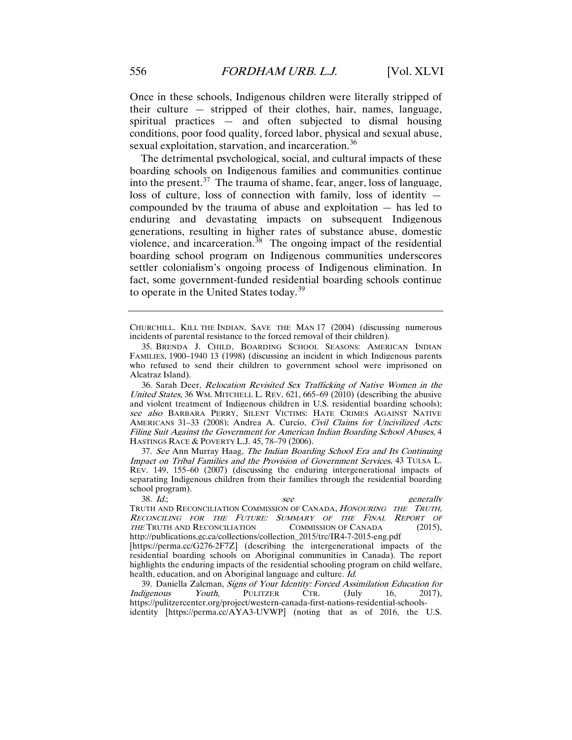Once in these schools, Indigenous children were literally stripped of their culture — stripped of their clothes, hair, names, language, spiritual practices — and often subjected to dismal housing conditions, poor food quality, forced labor, physical and sexual abuse, sexual exploitation, starvation, and incarceration.<sup>[36](#page-9-0)</sup>

The detrimental psychological, social, and cultural impacts of these boarding schools on Indigenous families and communities continue into the present.<sup>[37](#page-9-1)</sup> The trauma of shame, fear, anger, loss of language, loss of culture, loss of connection with family, loss of identity compounded by the trauma of abuse and exploitation — has led to enduring and devastating impacts on subsequent Indigenous generations, resulting in higher rates of substance abuse, domestic violence, and incarceration.<sup>38</sup> The ongoing impact of the residential boarding school program on Indigenous communities underscores settler colonialism's ongoing process of Indigenous elimination. In fact, some government-funded residential boarding schools continue to operate in the United States today.<sup>[39](#page-9-3)</sup>

CHURCHILL, KILL THE INDIAN, SAVE THE MAN 17 (2004) (discussing numerous incidents of parental resistance to the forced removal of their children).

<span id="page-9-0"></span>36. Sarah Deer, Relocation Revisited Sex Trafficking of Native Women in the United States, 36 WM. MITCHELL L. REV.  $621, 665–69$  (2010) (describing the abusive and violent treatment of Indigenous children in U.S. residential boarding schools); see also BARBARA PERRY, SILENT VICTIMS: HATE CRIMES AGAINST NATIVE AMERICANS 31–33 (2008); Andrea A. Curcio, Civil Claims for Uncivilized Acts: Filing Suit Against the Government for American Indian Boarding School Abuses, 4 HASTINGS RACE & POVERTY L.J. 45, 78–79 (2006).

<span id="page-9-1"></span>37. See Ann Murray Haag, The Indian Boarding School Era and Its Continuing Impact on Tribal Families and the Provision of Government Services, 43 TULSA L. REV. 149, 155–60 (2007) (discussing the enduring intergenerational impacts of separating Indigenous children from their families through the residential boarding school program).

<span id="page-9-2"></span>38. Id.; see generally TRUTH AND RECONCILIATION COMMISSION OF CANADA, HONOURING THE TRUTH, RECONCILING FOR THE FUTURE: SUMMARY OF THE FINAL REPORT OF THE TRUTH AND RECONCILIATION COMMISSION OF CANADA (2015), http://publications.gc.ca/collections/collection\_2015/trc/IR4-7-2015-eng.pdf

[https://perma.cc/G276-2F7Z] (describing the intergenerational impacts of the residential boarding schools on Aboriginal communities in Canada). The report highlights the enduring impacts of the residential schooling program on child welfare, health, education, and on Aboriginal language and culture. Id.

<span id="page-9-3"></span>39. Daniella Zalcman, *Signs of Your Identity: Forced Assimilation Education for ligenous* Youth, PULITZER CTR. (July 16, 2017). Indigenous Youth, PULITZER CTR. (July 16, 2017), https://pulitzercenter.org/project/western-canada-first-nations-residential-schoolsidentity [https://perma.cc/AYA3-UVWP] (noting that as of 2016, the U.S.

<sup>35.</sup> BRENDA J. CHILD, BOARDING SCHOOL SEASONS: AMERICAN INDIAN FAMILIES, 1900–1940 13 (1998) (discussing an incident in which Indigenous parents who refused to send their children to government school were imprisoned on Alcatraz Island).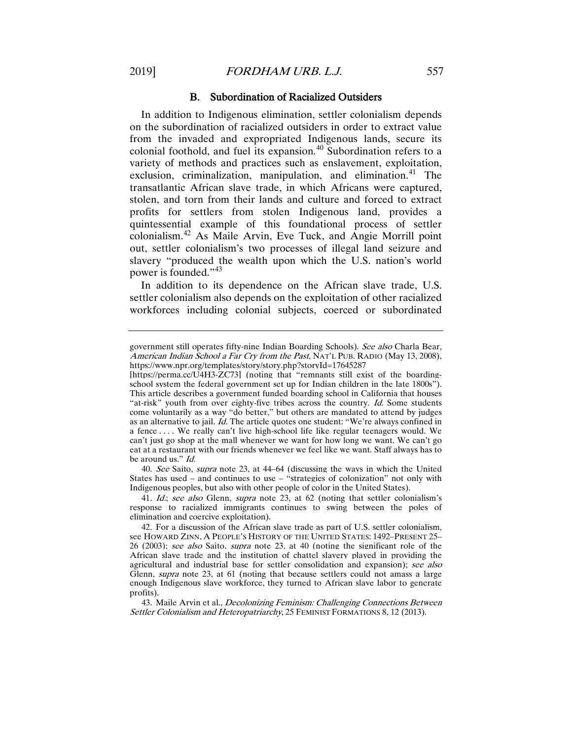### B. Subordination of Racialized Outsiders

In addition to Indigenous elimination, settler colonialism depends on the subordination of racialized outsiders in order to extract value from the invaded and expropriated Indigenous lands, secure its colonial foothold, and fuel its expansion.[40](#page-10-0) Subordination refers to a variety of methods and practices such as enslavement, exploitation, exclusion, criminalization, manipulation, and elimination.<sup>[41](#page-10-1)</sup> The transatlantic African slave trade, in which Africans were captured, stolen, and torn from their lands and culture and forced to extract profits for settlers from stolen Indigenous land, provides a quintessential example of this foundational process of settler colonialism.[42](#page-10-2) As Maile Arvin, Eve Tuck, and Angie Morrill point out, settler colonialism's two processes of illegal land seizure and slavery "produced the wealth upon which the U.S. nation's world power is founded."[43](#page-10-3)

In addition to its dependence on the African slave trade, U.S. settler colonialism also depends on the exploitation of other racialized workforces including colonial subjects, coerced or subordinated

<span id="page-10-0"></span>40. See Saito, supra note 23, at 44–64 (discussing the ways in which the United States has used – and continues to use – "strategies of colonization" not only with Indigenous peoples, but also with other people of color in the United States).

<span id="page-10-1"></span>41. Id.; see also Glenn, supra note 23, at 62 (noting that settler colonialism's response to racialized immigrants continues to swing between the poles of elimination and coercive exploitation).

<span id="page-10-3"></span>43. Maile Arvin et al., *Decolonizing Feminism: Challenging Connections Between* Settler Colonialism and Heteropatriarchy, 25 FEMINIST FORMATIONS 8, 12 (2013).

government still operates fifty-nine Indian Boarding Schools). See also Charla Bear, American Indian School a Far Cry from the Past, NAT'L PUB. RADIO (May 13, 2008), https://www.npr.org/templates/story/story.php?storyId=17645287

<sup>[</sup>https://perma.cc/U4H3-ZC73] (noting that "remnants still exist of the boardingschool system the federal government set up for Indian children in the late 1800s"). This article describes a government funded boarding school in California that houses "at-risk" youth from over eighty-five tribes across the country. Id. Some students come voluntarily as a way "do better," but others are mandated to attend by judges as an alternative to jail. Id. The article quotes one student: "We're always confined in a fence . . . . We really can't live high-school life like regular teenagers would. We can't just go shop at the mall whenever we want for how long we want. We can't go eat at a restaurant with our friends whenever we feel like we want. Staff always has to be around us." Id.

<span id="page-10-2"></span><sup>42.</sup> For a discussion of the African slave trade as part of U.S. settler colonialism, see HOWARD ZINN, A PEOPLE'S HISTORY OF THE UNITED STATES: 1492–PRESENT 25– 26 (2003); see also Saito, supra note 23, at 40 (noting the significant role of the African slave trade and the institution of chattel slavery played in providing the agricultural and industrial base for settler consolidation and expansion); see also Glenn, *supra* note 23, at 61 (noting that because settlers could not amass a large enough Indigenous slave workforce, they turned to African slave labor to generate profits).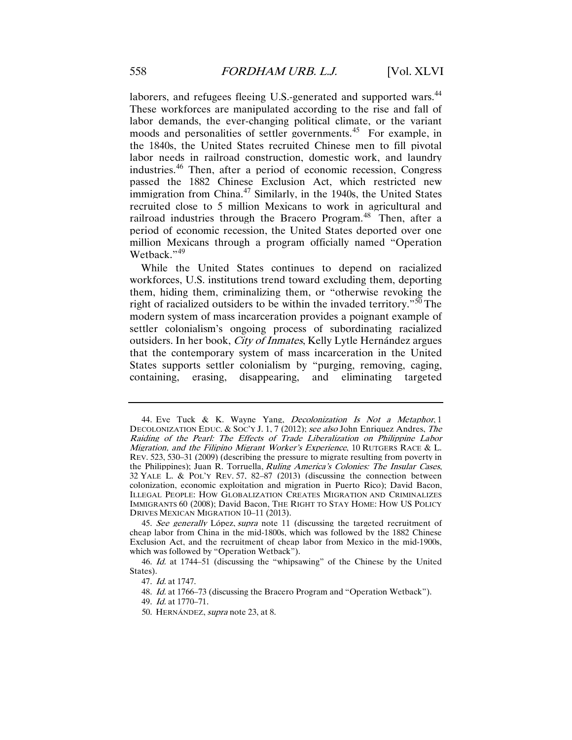laborers, and refugees fleeing U.S.-generated and supported wars.<sup>[44](#page-11-0)</sup> These workforces are manipulated according to the rise and fall of labor demands, the ever-changing political climate, or the variant moods and personalities of settler governments.<sup>45</sup> For example, in the 1840s, the United States recruited Chinese men to fill pivotal labor needs in railroad construction, domestic work, and laundry industries.[46](#page-11-2) Then, after a period of economic recession, Congress passed the 1882 Chinese Exclusion Act, which restricted new immigration from China. $47$  Similarly, in the 1940s, the United States recruited close to 5 million Mexicans to work in agricultural and railroad industries through the Bracero Program.<sup>[48](#page-11-4)</sup> Then, after a period of economic recession, the United States deported over one million Mexicans through a program officially named "Operation Wetback."<sup>[49](#page-11-5)</sup>

While the United States continues to depend on racialized workforces, U.S. institutions trend toward excluding them, deporting them, hiding them, criminalizing them, or "otherwise revoking the right of racialized outsiders to be within the invaded territory."<sup>[50](#page-11-6)</sup> The modern system of mass incarceration provides a poignant example of settler colonialism's ongoing process of subordinating racialized outsiders. In her book, City of Inmates, Kelly Lytle Hernández argues that the contemporary system of mass incarceration in the United States supports settler colonialism by "purging, removing, caging, containing, erasing, disappearing, and eliminating targeted

<span id="page-11-0"></span><sup>44.</sup> Eve Tuck & K. Wayne Yang, Decolonization Is Not a Metaphor, 1 DECOLONIZATION EDUC. & SOC'Y J. 1, 7 (2012); see also John Enriquez Andres, The Raiding of the Pearl: The Effects of Trade Liberalization on Philippine Labor Migration, and the Filipino Migrant Worker's Experience, 10 RUTGERS RACE & L. REV. 523, 530–31 (2009) (describing the pressure to migrate resulting from poverty in the Philippines); Juan R. Torruella, Ruling America's Colonies: The Insular Cases, 32 YALE L. & POL'Y REV. 57, 82–87 (2013) (discussing the connection between colonization, economic exploitation and migration in Puerto Rico); David Bacon, ILLEGAL PEOPLE: HOW GLOBALIZATION CREATES MIGRATION AND CRIMINALIZES IMMIGRANTS 60 (2008); David Bacon, THE RIGHT TO STAY HOME: HOW US POLICY DRIVES MEXICAN MIGRATION 10–11 (2013).

<span id="page-11-1"></span><sup>45.</sup> See generally López, supra note 11 (discussing the targeted recruitment of cheap labor from China in the mid-1800s, which was followed by the 1882 Chinese Exclusion Act, and the recruitment of cheap labor from Mexico in the mid-1900s, which was followed by "Operation Wetback").

<span id="page-11-6"></span><span id="page-11-5"></span><span id="page-11-4"></span><span id="page-11-3"></span><span id="page-11-2"></span><sup>46.</sup> Id. at 1744–51 (discussing the "whipsawing" of the Chinese by the United States).

<sup>47.</sup> Id. at 1747.

<sup>48.</sup> Id. at 1766–73 (discussing the Bracero Program and "Operation Wetback").

<sup>49.</sup> Id. at 1770–71.

<sup>50.</sup> HERNÁNDEZ, supra note 23, at 8.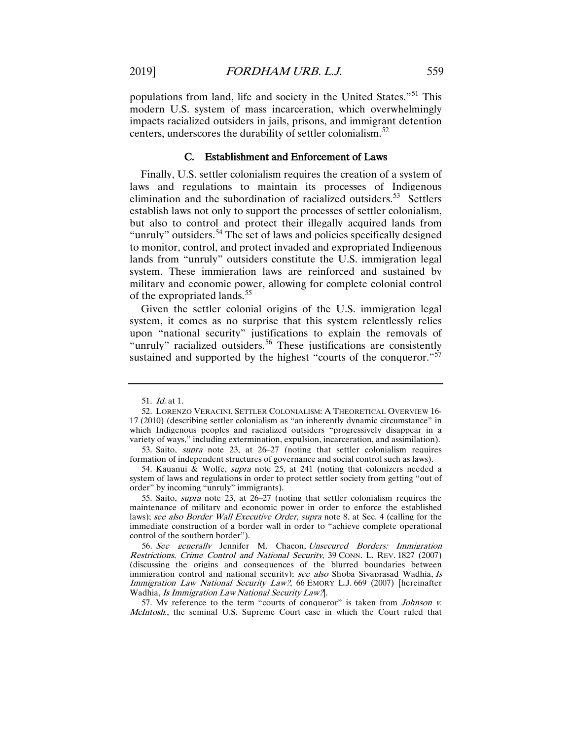populations from land, life and society in the United States."[51](#page-12-0) This modern U.S. system of mass incarceration, which overwhelmingly impacts racialized outsiders in jails, prisons, and immigrant detention centers, underscores the durability of settler colonialism.<sup>[52](#page-12-1)</sup>

# C. Establishment and Enforcement of Laws

Finally, U.S. settler colonialism requires the creation of a system of laws and regulations to maintain its processes of Indigenous elimination and the subordination of racialized outsiders.<sup>[53](#page-12-2)</sup> Settlers establish laws not only to support the processes of settler colonialism, but also to control and protect their illegally acquired lands from "unruly" outsiders.<sup>[54](#page-12-3)</sup> The set of laws and policies specifically designed to monitor, control, and protect invaded and expropriated Indigenous lands from "unruly" outsiders constitute the U.S. immigration legal system. These immigration laws are reinforced and sustained by military and economic power, allowing for complete colonial control of the expropriated lands.<sup>[55](#page-12-4)</sup>

Given the settler colonial origins of the U.S. immigration legal system, it comes as no surprise that this system relentlessly relies upon "national security" justifications to explain the removals of "unruly" racialized outsiders.<sup>[56](#page-12-5)</sup> These justifications are consistently sustained and supported by the highest "courts of the conqueror." $57$ 

<span id="page-12-6"></span>57. My reference to the term "courts of conqueror" is taken from *Johnson v.* McIntosh., the seminal U.S. Supreme Court case in which the Court ruled that

<sup>51.</sup> Id. at 1.

<span id="page-12-1"></span><span id="page-12-0"></span><sup>52.</sup> LORENZO VERACINI, SETTLER COLONIALISM: A THEORETICAL OVERVIEW 16- 17 (2010) (describing settler colonialism as "an inherently dynamic circumstance" in which Indigenous peoples and racialized outsiders "progressively disappear in a variety of ways," including extermination, expulsion, incarceration, and assimilation).

<span id="page-12-2"></span><sup>53.</sup> Saito, supra note 23, at 26–27 (noting that settler colonialism requires formation of independent structures of governance and social control such as laws).

<span id="page-12-3"></span><sup>54.</sup> Kauanui & Wolfe, supra note 25, at 241 (noting that colonizers needed a system of laws and regulations in order to protect settler society from getting "out of order" by incoming "unruly" immigrants).

<span id="page-12-4"></span><sup>55.</sup> Saito, supra note 23, at 26–27 (noting that settler colonialism requires the maintenance of military and economic power in order to enforce the established laws); see also Border Wall Executive Order, supra note 8, at Sec. 4 (calling for the immediate construction of a border wall in order to "achieve complete operational control of the southern border").

<span id="page-12-5"></span><sup>56</sup>. See generally Jennifer M. Chacon, Unsecured Borders: Immigration Restrictions, Crime Control and National Security, 39 CONN. L. REV. 1827 (2007) (discussing the origins and consequences of the blurred boundaries between immigration control and national security); see also Shoba Sivaprasad Wadhia, Is Immigration Law National Security Law?, 66 EMORY L.J. 669 (2007) [hereinafter Wadhia, Is Immigration Law National Security Law?].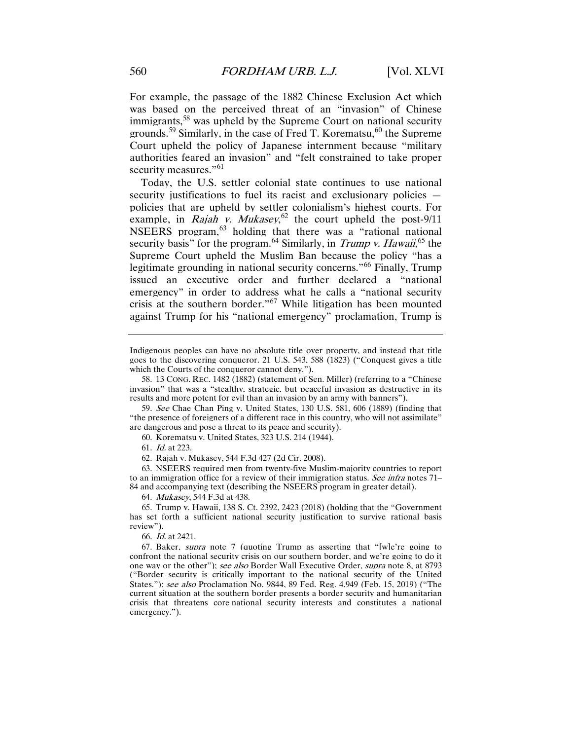For example, the passage of the 1882 Chinese Exclusion Act which was based on the perceived threat of an "invasion" of Chinese immigrants,[58](#page-13-0) was upheld by the Supreme Court on national security grounds.<sup>[59](#page-13-1)</sup> Similarly, in the case of Fred T. Korematsu,  $60$  the Supreme Court upheld the policy of Japanese internment because "military authorities feared an invasion" and "felt constrained to take proper security measures."<sup>[61](#page-13-3)</sup>

Today, the U.S. settler colonial state continues to use national security justifications to fuel its racist and exclusionary policies policies that are upheld by settler colonialism's highest courts. For example, in *Rajah v. Mukasey*,<sup>[62](#page-13-4)</sup> the court upheld the post-9/11 NSEERS program,<sup>[63](#page-13-5)</sup> holding that there was a "rational national security basis" for the program.<sup>[64](#page-13-6)</sup> Similarly, in *Trump v. Hawaii*,<sup>[65](#page-13-7)</sup> the Supreme Court upheld the Muslim Ban because the policy "has a legitimate grounding in national security concerns."<sup>[66](#page-13-8)</sup> Finally, Trump issued an executive order and further declared a "national emergency" in order to address what he calls a "national security crisis at the southern border."<sup>[67](#page-13-9)</sup> While litigation has been mounted against Trump for his "national emergency" proclamation, Trump is

<span id="page-13-2"></span><span id="page-13-1"></span>59. See Chae Chan Ping v. United States, 130 U.S. 581, 606 (1889) (finding that "the presence of foreigners of a different race in this country, who will not assimilate" are dangerous and pose a threat to its peace and security).

60. Korematsu v. United States, 323 U.S. 214 (1944).

61. Id. at 223.

62. Rajah v. Mukasey, 544 F.3d 427 (2d Cir. 2008).

<span id="page-13-5"></span><span id="page-13-4"></span><span id="page-13-3"></span>63. NSEERS required men from twenty-five Muslim-majority countries to report to an immigration office for a review of their immigration status. See infra notes 71– 84 and accompanying text (describing the NSEERS program in greater detail).

64. Mukasey, 544 F.3d at 438.

<span id="page-13-7"></span><span id="page-13-6"></span>65. Trump v. Hawaii, 138 S. Ct. 2392, 2423 (2018) (holding that the "Government has set forth a sufficient national security justification to survive rational basis review").

66. Id. at 2421.

<span id="page-13-9"></span><span id="page-13-8"></span>67. Baker, supra note 7 (quoting Trump as asserting that "[w]e're going to confront the national security crisis on our southern border, and we're going to do it one way or the other"); see also Border Wall Executive Order, supra note 8, at 8793 ("Border security is critically important to the national security of the United States."); see also Proclamation No. 9844, 89 Fed. Reg. 4,949 (Feb. 15, 2019) ("The current situation at the southern border presents a border security and humanitarian crisis that threatens core national security interests and constitutes a national emergency.").

Indigenous peoples can have no absolute title over property, and instead that title goes to the discovering conqueror. 21 U.S. 543, 588 (1823) ("Conquest gives a title which the Courts of the conqueror cannot deny.").

<span id="page-13-0"></span><sup>58.</sup> 13 CONG. REC. 1482 (1882) (statement of Sen. Miller) (referring to a "Chinese invasion" that was a "stealthy, strategic, but peaceful invasion as destructive in its results and more potent for evil than an invasion by an army with banners").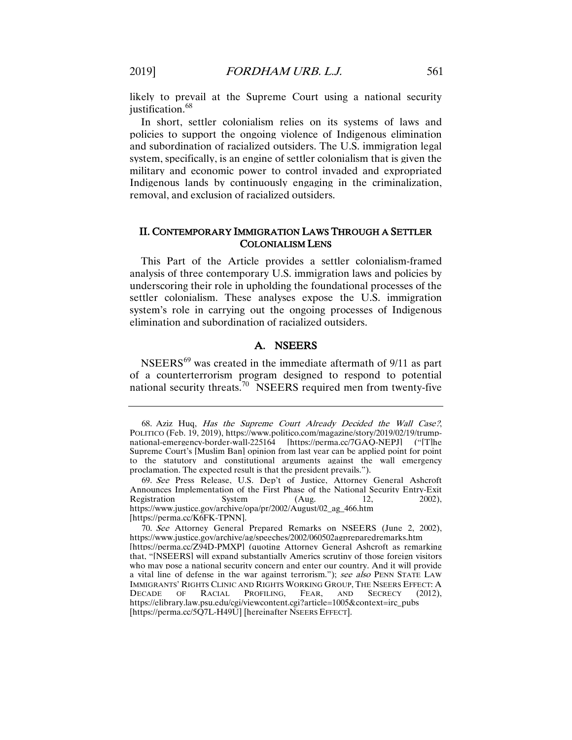likely to prevail at the Supreme Court using a national security justification.<sup>[68](#page-14-0)</sup>

In short, settler colonialism relies on its systems of laws and policies to support the ongoing violence of Indigenous elimination and subordination of racialized outsiders. The U.S. immigration legal system, specifically, is an engine of settler colonialism that is given the military and economic power to control invaded and expropriated Indigenous lands by continuously engaging in the criminalization, removal, and exclusion of racialized outsiders.

# II. CONTEMPORARY IMMIGRATION LAWS THROUGH A SETTLER COLONIALISM LENS

This Part of the Article provides a settler colonialism-framed analysis of three contemporary U.S. immigration laws and policies by underscoring their role in upholding the foundational processes of the settler colonialism. These analyses expose the U.S. immigration system's role in carrying out the ongoing processes of Indigenous elimination and subordination of racialized outsiders.

# A. NSEERS

NSEERS[69](#page-14-1) was created in the immediate aftermath of 9/11 as part of a counterterrorism program designed to respond to potential national security threats.<sup>70</sup> NSEERS required men from twenty-five

<span id="page-14-0"></span><sup>68.</sup> Aziz Huq, Has the Supreme Court Already Decided the Wall Case?, POLITICO (Feb. 19, 2019), https://www.politico.com/magazine/story/2019/02/19/trumpnational-emergency-border-wall-225164 [https://perma.cc/7GAQ-NEPJ] ("[T]he Supreme Court's [Muslim Ban] opinion from last year can be applied point for point to the statutory and constitutional arguments against the wall emergency proclamation. The expected result is that the president prevails.").

<span id="page-14-1"></span><sup>69.</sup> See Press Release, U.S. Dep't of Justice, Attorney General Ashcroft Announces Implementation of the First Phase of the National Security Entry-Exit Registration System (Aug. 12, 2002). Registration System (Aug. 12, https://www.justice.gov/archive/opa/pr/2002/August/02\_ag\_466.htm [https://perma.cc/K6FK-TPNN].

<span id="page-14-2"></span><sup>70.</sup> See Attorney General Prepared Remarks on NSEERS (June 2, 2002), https://www.justice.gov/archive/ag/speeches/2002/060502agpreparedremarks.htm [https://perma.cc/Z94D-PMXP] (quoting Attorney General Ashcroft as remarking that, "[NSEERS] will expand substantially Americs scrutiny of those foreign visitors who may pose a national security concern and enter our country. And it will provide a vital line of defense in the war against terrorism."); see also PENN STATE LAW IMMIGRANTS' RIGHTS CLINIC AND RIGHTS WORKING GROUP, THE NSEERS EFFECT: A DECADE OF RACIAL PROFILING, FEAR, AND SECRECY (2012). OF RACIAL PROFILING, FEAR, AND SECRECY (2012), https://elibrary.law.psu.edu/cgi/viewcontent.cgi?article=1005&context=irc\_pubs [https://perma.cc/5Q7L-H49U] [hereinafter NSEERS EFFECT].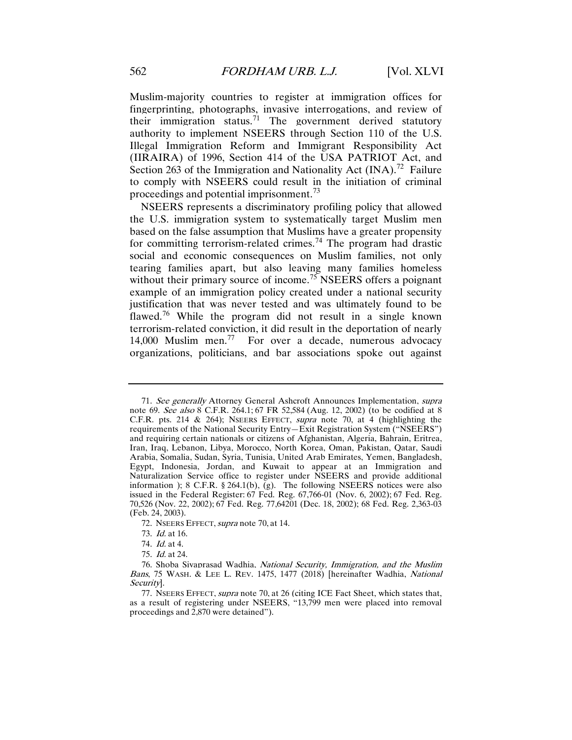Muslim-majority countries to register at immigration offices for fingerprinting, photographs, invasive interrogations, and review of their immigration status.<sup>[71](#page-15-0)</sup> The government derived statutory authority to implement NSEERS through Section 110 of the U.S. Illegal Immigration Reform and Immigrant Responsibility Act (IIRAIRA) of 1996, Section 414 of the USA PATRIOT Act, and Section 263 of the Immigration and Nationality Act  $(INA)$ .<sup>[72](#page-15-1)</sup> Failure to comply with NSEERS could result in the initiation of criminal proceedings and potential imprisonment.<sup>[73](#page-15-2)</sup>

NSEERS represents a discriminatory profiling policy that allowed the U.S. immigration system to systematically target Muslim men based on the false assumption that Muslims have a greater propensity for committing terrorism-related crimes.<sup>[74](#page-15-3)</sup> The program had drastic social and economic consequences on Muslim families, not only tearing families apart, but also leaving many families homeless without their primary source of income.<sup>[75](#page-15-4)</sup> NSEERS offers a poignant example of an immigration policy created under a national security justification that was never tested and was ultimately found to be flawed.<sup>[76](#page-15-5)</sup> While the program did not result in a single known terrorism-related conviction, it did result in the deportation of nearly 14,000 Muslim men.[77](#page-15-6) For over a decade, numerous advocacy organizations, politicians, and bar associations spoke out against

<span id="page-15-0"></span><sup>71.</sup> See generally Attorney General Ashcroft Announces Implementation, supra note 69. See also 8 C.F.R. 264.1; 67 FR 52,584 (Aug. 12, 2002) (to be codified at 8 C.F.R. pts. 214 & 264); NSEERS EFFECT, supra note 70, at 4 (highlighting the requirements of the National Security Entry—Exit Registration System ("NSEERS") and requiring certain nationals or citizens of Afghanistan, Algeria, Bahrain, Eritrea, Iran, Iraq, Lebanon, Libya, Morocco, North Korea, Oman, Pakistan, Qatar, Saudi Arabia, Somalia, Sudan, Syria, Tunisia, United Arab Emirates, Yemen, Bangladesh, Egypt, Indonesia, Jordan, and Kuwait to appear at an Immigration and Naturalization Service office to register under NSEERS and provide additional information ); 8 C.F.R.  $\S 264.1(b)$ , (g). The following NSEERS notices were also issued in the Federal Register: 67 Fed. Reg. 67,766-01 (Nov. 6, 2002); 67 Fed. Reg. 70,526 (Nov. 22, 2002); 67 Fed. Reg. 77,64201 (Dec. 18, 2002); 68 Fed. Reg. 2,363-03 (Feb. 24, 2003).

<sup>72.</sup> NSEERS EFFECT, *supra* note 70, at 14.

<sup>73.</sup> Id. at 16.

<sup>74.</sup> Id. at 4.

<sup>75.</sup> Id. at 24.

<span id="page-15-5"></span><span id="page-15-4"></span><span id="page-15-3"></span><span id="page-15-2"></span><span id="page-15-1"></span><sup>76.</sup> Shoba Sivaprasad Wadhia, National Security, Immigration, and the Muslim Bans, 75 WASH. & LEE L. REV. 1475, 1477 (2018) [hereinafter Wadhia, National Security].

<span id="page-15-6"></span><sup>77.</sup> NSEERS EFFECT, supra note 70, at 26 (citing ICE Fact Sheet, which states that, as a result of registering under NSEERS, "13,799 men were placed into removal proceedings and 2,870 were detained").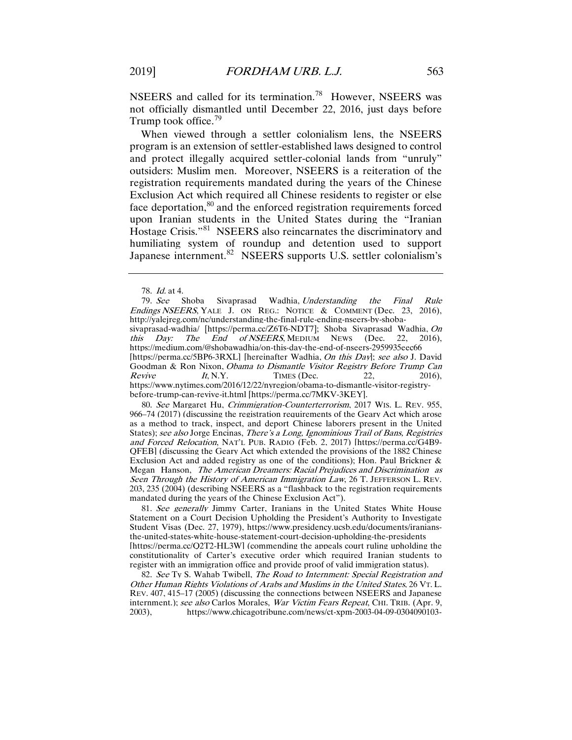NSEERS and called for its termination.<sup>[78](#page-16-0)</sup> However, NSEERS was not officially dismantled until December 22, 2016, just days before Trump took office.<sup>[79](#page-16-1)</sup>

When viewed through a settler colonialism lens, the NSEERS program is an extension of settler-established laws designed to control and protect illegally acquired settler-colonial lands from "unruly" outsiders: Muslim men. Moreover, NSEERS is a reiteration of the registration requirements mandated during the years of the Chinese Exclusion Act which required all Chinese residents to register or else face deportation,<sup>[80](#page-16-2)</sup> and the enforced registration requirements forced upon Iranian students in the United States during the "Iranian Hostage Crisis."[81](#page-16-3) NSEERS also reincarnates the discriminatory and humiliating system of roundup and detention used to support Japanese internment.<sup>[82](#page-16-4)</sup> NSEERS supports U.S. settler colonialism's

78. Id. at 4.

<span id="page-16-1"></span><span id="page-16-0"></span>79. See Shoba Sivaprasad Wadhia, Understanding the Final Rule Endings NSEERS, YALE J. ON REG.: NOTICE & COMMENT (Dec. 23, 2016), http://yalejreg.com/nc/understanding-the-final-rule-ending-nseers-by-shobasivaprasad-wadhia/ [https://perma.cc/Z6T6-NDT7]; Shoba Sivaprasad Wadhia, On<br>this Day: The End of NSEERS, MEDIUM NEWS (Dec. 22, 2016),  $\overline{End}$  of NSEERS, MEDIUM NEWS (Dec. 22, https://medium.com/@shobawadhia/on-this-day-the-end-of-nseers-2959935eec66 [https://perma.cc/5BP6-3RXL] [hereinafter Wadhia, *On this Day*]; see also J. David Goodman & Ron Nixon, *Obama to Dismantle Visitor Registry Before Trump Can Revive It, N.Y.* TIMES (Dec. 22, 2016). TIMES (Dec. 22, 2016), https://www.nytimes.com/2016/12/22/nyregion/obama-to-dismantle-visitor-registrybefore-trump-can-revive-it.html [https://perma.cc/7MKV-3KEY].

<span id="page-16-2"></span>80. See Margaret Hu, Crimmigration-Counterterrorism, 2017 WIS. L. REV. 955, 966–74 (2017) (discussing the registration requirements of the Geary Act which arose as a method to track, inspect, and deport Chinese laborers present in the United States); see also Jorge Encinas, There's a Long, Ignominious Trail of Bans, Registries and Forced Relocation, NAT'L PUB. RADIO (Feb. 2, 2017) [https://perma.cc/G4B9- QFEB] (discussing the Geary Act which extended the provisions of the 1882 Chinese Exclusion Act and added registry as one of the conditions); Hon. Paul Brickner & Megan Hanson, The American Dreamers: Racial Prejudices and Discrimination as Seen Through the History of American Immigration Law, 26 T. JEFFERSON L. REV. 203, 235 (2004) (describing NSEERS as a "flashback to the registration requirements mandated during the years of the Chinese Exclusion Act").

<span id="page-16-3"></span>81. See generally Jimmy Carter, Iranians in the United States White House Statement on a Court Decision Upholding the President's Authority to Investigate Student Visas (Dec. 27, 1979), https://www.presidency.ucsb.edu/documents/iraniansthe-united-states-white-house-statement-court-decision-upholding-the-presidents [https://perma.cc/Q2T2-HL3W] (commending the appeals court ruling upholding the constitutionality of Carter's executive order which required Iranian students to register with an immigration office and provide proof of valid immigration status).

<span id="page-16-4"></span>82. See Ty S. Wahab Twibell, The Road to Internment: Special Registration and Other Human Rights Violations of Arabs and Muslims in the United States, 26 VT. L. REV. 407, 415–17 (2005) (discussing the connections between NSEERS and Japanese internment.): see also Carlos Morales, War Victim Fears Repeat, CHI. TRIB. (Apr. 9, 2003), https://www.chicagotribune.com/news/ct-xpm-2003-04-09-0304090103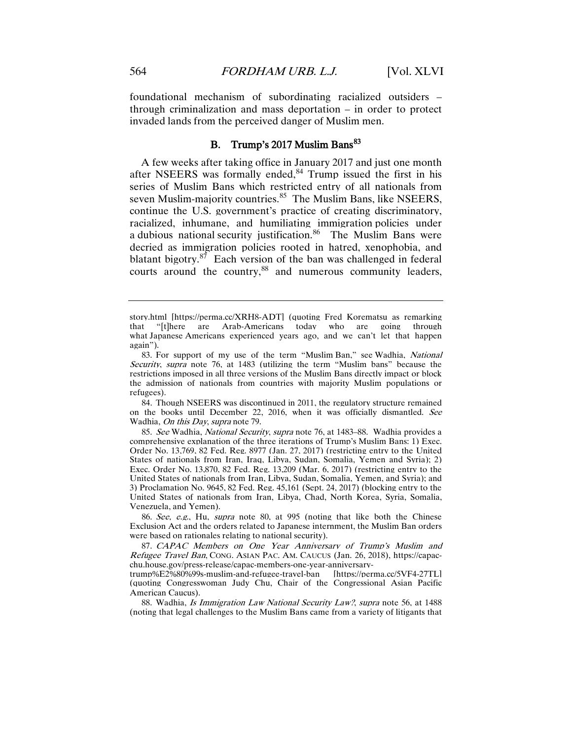foundational mechanism of subordinating racialized outsiders – through criminalization and mass deportation – in order to protect invaded lands from the perceived danger of Muslim men.

# B. Trump's 2017 Muslim Bans<sup>83</sup>

A few weeks after taking office in January 2017 and just one month after NSEERS was formally ended, $84$  Trump issued the first in his series of Muslim Bans which restricted entry of all nationals from seven Muslim-majority countries.<sup>85</sup> The Muslim Bans, like NSEERS, continue the U.S. government's practice of creating discriminatory, racialized, inhumane, and humiliating immigration policies under a dubious national security justification. $86$  The Muslim Bans were decried as immigration policies rooted in hatred, xenophobia, and blatant bigotry. $87$  Each version of the ban was challenged in federal courts around the country,<sup>[88](#page-17-5)</sup> and numerous community leaders,

<span id="page-17-1"></span>84. Though NSEERS was discontinued in 2011, the regulatory structure remained on the books until December 22, 2016, when it was officially dismantled. See Wadhia, On this Day, supra note 79.

<span id="page-17-2"></span>85. See Wadhia, National Security, supra note 76, at 1483–88. Wadhia provides a comprehensive explanation of the three iterations of Trump's Muslim Bans: 1) Exec. Order No. 13,769, 82 Fed. Reg. 8977 (Jan. 27, 2017) (restricting entry to the United States of nationals from Iran, Iraq, Libya, Sudan, Somalia, Yemen and Syria); 2) Exec. Order No. 13,870, 82 Fed. Reg. 13,209 (Mar. 6, 2017) (restricting entry to the United States of nationals from Iran, Libya, Sudan, Somalia, Yemen, and Syria); and 3) Proclamation No. 9645, 82 Fed. Reg. 45,161 (Sept. 24, 2017) (blocking entry to the United States of nationals from Iran, Libya, Chad, North Korea, Syria, Somalia, Venezuela, and Yemen).

<span id="page-17-3"></span>86. See, e.g., Hu, supra note 80, at 995 (noting that like both the Chinese Exclusion Act and the orders related to Japanese internment, the Muslim Ban orders were based on rationales relating to national security).

<span id="page-17-4"></span>87. CAPAC Members on One Year Anniversary of Trump's Muslim and Refugee Travel Ban, CONG. ASIAN PAC. AM. CAUCUS (Jan. 26, 2018), https://capacchu.house.gov/press-release/capac-members-one-year-anniversary-

trump%E2%80%99s-muslim-and-refugee-travel-ban [https://perma.cc/5VF4-27TL] (quoting Congresswoman Judy Chu, Chair of the Congressional Asian Pacific American Caucus).

<span id="page-17-5"></span>88. Wadhia, *Is Immigration Law National Security Law?*, *supra* note 56, at 1488 (noting that legal challenges to the Muslim Bans came from a variety of litigants that

story.html [https://perma.cc/XRH8-ADT] (quoting Fred Korematsu as remarking "[t]here are Arab-Americans today who are going through what Japanese Americans experienced years ago, and we can't let that happen again").

<span id="page-17-0"></span><sup>83.</sup> For support of my use of the term "Muslim Ban," see Wadhia, National Security, supra note 76, at 1483 (utilizing the term "Muslim bans" because the restrictions imposed in all three versions of the Muslim Bans directly impact or block the admission of nationals from countries with majority Muslim populations or refugees).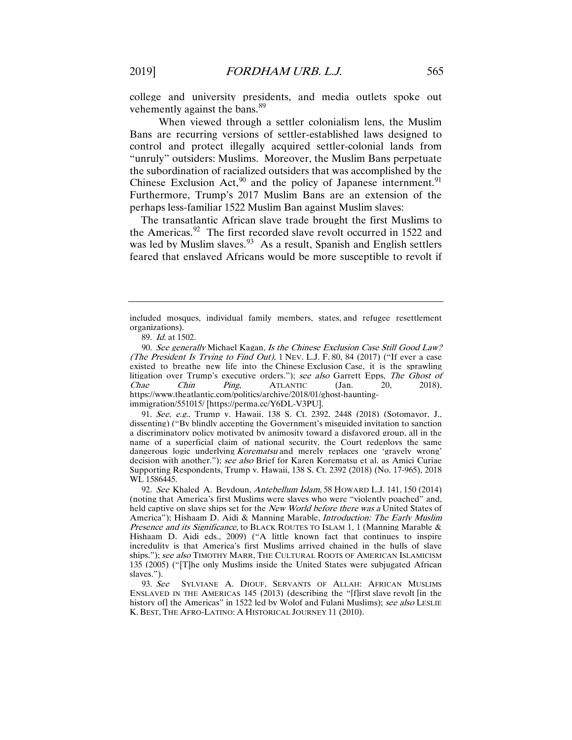college and university presidents, and media outlets spoke out vehemently against the bans.<sup>[89](#page-18-0)</sup>

When viewed through a settler colonialism lens, the Muslim Bans are recurring versions of settler-established laws designed to control and protect illegally acquired settler-colonial lands from "unruly" outsiders: Muslims. Moreover, the Muslim Bans perpetuate the subordination of racialized outsiders that was accomplished by the Chinese Exclusion  $Act<sub>2</sub><sup>90</sup>$  $Act<sub>2</sub><sup>90</sup>$  $Act<sub>2</sub><sup>90</sup>$  and the policy of Japanese internment.<sup>[91](#page-18-2)</sup> Furthermore, Trump's 2017 Muslim Bans are an extension of the perhaps less-familiar 1522 Muslim Ban against Muslim slaves:

The transatlantic African slave trade brought the first Muslims to the Americas.<sup>[92](#page-18-3)</sup> The first recorded slave revolt occurred in 1522 and was led by Muslim slaves.<sup>93</sup> As a result, Spanish and English settlers feared that enslaved Africans would be more susceptible to revolt if

<span id="page-18-2"></span>91. See, e.g., Trump v. Hawaii, 138 S. Ct. 2392, 2448 (2018) (Sotomayor, J., dissenting) ("By blindly accepting the Government's misguided invitation to sanction a discriminatory policy motivated by animosity toward a disfavored group, all in the name of a superficial claim of national security, the Court redeploys the same dangerous logic underlying *Korematsu* and merely replaces one 'gravely wrong' decision with another."); see also Brief for Karen Korematsu et al. as Amici Curiae Supporting Respondents, Trump v. Hawaii, 138 S. Ct. 2392 (2018) (No. 17-965), 2018 WL 1586445.

<span id="page-18-3"></span>92. See Khaled A. Beydoun, Antebellum Islam, 58 HOWARD L.J. 141, 150 (2014) (noting that America's first Muslims were slaves who were "violently poached" and, held captive on slave ships set for the New World before there was a United States of America"); Hishaam D. Aidi & Manning Marable, *Introduction: The Early Muslim* Presence and its Significance, to BLACK ROUTES TO ISLAM 1, 1 (Manning Marable & Hishaam D. Aidi eds., 2009) ("A little known fact that continues to inspire incredulity is that America's first Muslims arrived chained in the hulls of slave ships."); see also TIMOTHY MARR, THE CULTURAL ROOTS OF AMERICAN ISLAMICISM 135 (2005) ("[T]he only Muslims inside the United States were subjugated African slaves.").

<span id="page-18-4"></span>93. See SYLVIANE A. DIOUF, SERVANTS OF ALLAH: AFRICAN MUSLIMS ENSLAVED IN THE AMERICAS 145 (2013) (describing the "[f]irst slave revolt [in the history of] the Americas" in 1522 led by Wolof and Fulani Muslims); see also LESLIE K. BEST, THE AFRO-LATINO: A HISTORICAL JOURNEY 11 (2010).

included mosques, individual family members, states, and refugee resettlement organizations).

<sup>89.</sup> Id. at 1502.

<span id="page-18-1"></span><span id="page-18-0"></span><sup>90.</sup> See generally Michael Kagan, Is the Chinese Exclusion Case Still Good Law? (The President Is Trying to Find Out),  $1$  Nev. L.J. F. 80, 84 (2017) ("If ever a case existed to breathe new life into the Chinese Exclusion Case, it is the sprawling litigation over Trump's executive orders."); see also Garrett Epps, The Ghost of Chae Chin Ping, ATLANTIC (Jan. 20, 2018), Chae Chin Ping, ATLANTIC (Jan. 20, 2018), https://www.theatlantic.com/politics/archive/2018/01/ghost-hauntingimmigration/551015/ [https://perma.cc/Y6DL-V3PU].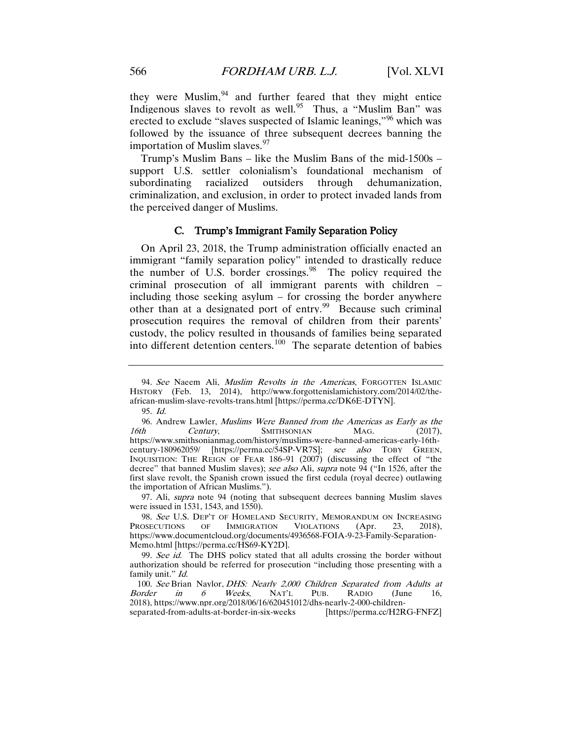they were Muslim,<sup>[94](#page-19-0)</sup> and further feared that they might entice Indigenous slaves to revolt as well.<sup>95</sup> Thus, a "Muslim Ban" was erected to exclude "slaves suspected of Islamic leanings,"<sup>[96](#page-19-2)</sup> which was followed by the issuance of three subsequent decrees banning the importation of Muslim slaves. $97$ 

Trump's Muslim Bans – like the Muslim Bans of the mid-1500s – support U.S. settler colonialism's foundational mechanism of subordinating racialized outsiders through dehumanization, criminalization, and exclusion, in order to protect invaded lands from the perceived danger of Muslims.

# C. Trump's Immigrant Family Separation Policy

On April 23, 2018, the Trump administration officially enacted an immigrant "family separation policy" intended to drastically reduce the number of U.S. border crossings. <sup>98</sup> The policy required the criminal prosecution of all immigrant parents with children – including those seeking asylum – for crossing the border anywhere other than at a designated port of entry.<sup>99</sup> Because such criminal prosecution requires the removal of children from their parents' custody, the policy resulted in thousands of families being separated into different detention centers.<sup>100</sup> The separate detention of babies

<span id="page-19-3"></span>97. Ali, supra note 94 (noting that subsequent decrees banning Muslim slaves were issued in 1531, 1543, and 1550).

<span id="page-19-0"></span><sup>94.</sup> See Naeem Ali, Muslim Revolts in the Americas, FORGOTTEN ISLAMIC HISTORY (Feb. 13, 2014), http://www.forgottenislamichistory.com/2014/02/theafrican-muslim-slave-revolts-trans.html [https://perma.cc/DK6E-DTYN].

<sup>95.</sup> Id.

<span id="page-19-2"></span><span id="page-19-1"></span><sup>96.</sup> Andrew Lawler, *Muslims Were Banned from the Americas as Early as the 16th* Century. SMITHSONIAN MAG. (2017). Century, SMITHSONIAN MAG. (2017), https://www.smithsonianmag.com/history/muslims-were-banned-americas-early-16thcentury-180962059/ [https://perma.cc/54SP-VR7S]; see also TOBY GREEN, INQUISITION: THE REIGN OF FEAR 186–91 (2007) (discussing the effect of "the decree" that banned Muslim slaves); see also Ali, supra note 94 ("In 1526, after the first slave revolt, the Spanish crown issued the first cedula (royal decree) outlawing the importation of African Muslims.").

<span id="page-19-4"></span><sup>98.</sup> See U.S. DEP'T OF HOMELAND SECURITY, MEMORANDUM ON INCREASING PROSECUTIONS OF IMMIGRATION VIOLATIONS (Apr. 23, 2018), https://www.documentcloud.org/documents/4936568-FOIA-9-23-Family-Separation-Memo.html [https://perma.cc/HS69-KY2D].

<span id="page-19-5"></span><sup>99.</sup> See id. The DHS policy stated that all adults crossing the border without authorization should be referred for prosecution "including those presenting with a family unit." Id.

<span id="page-19-6"></span><sup>100.</sup> See Brian Naylor, *DHS: Nearly 2,000 Children Separated from Adults at* Border in 6 Weeks, NAT'L PUB. RADIO (June 16, Border in 6 Weeks, NAT'L PUB. RADIO (June 16, 2018), https://www.npr.org/2018/06/16/620451012/dhs-nearly-2-000-childrenseparated-from-adults-at-border-in-six-weeks [https://perma.cc/H2RG-FNFZ]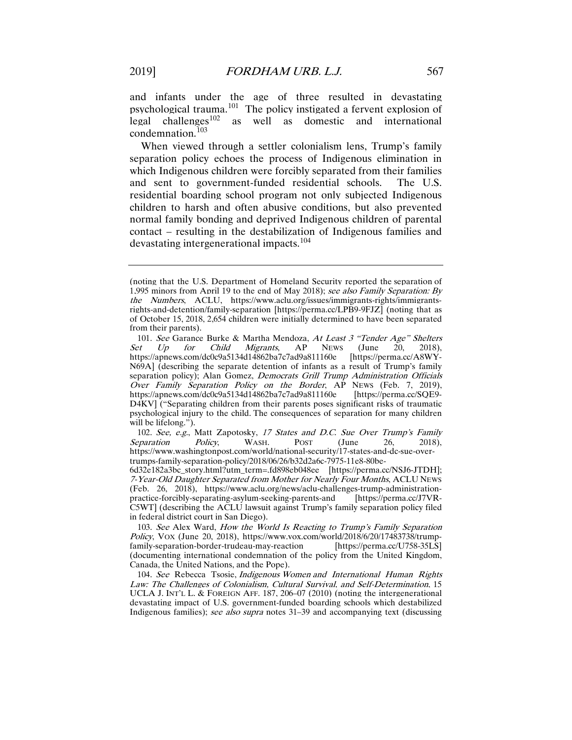and infants under the age of three resulted in devastating psychological trauma.<sup>101</sup> The policy instigated a fervent explosion of legal challenges<sup>102</sup> as well as domestic and international as well as domestic and international condemnation. $103$ 

When viewed through a settler colonialism lens, Trump's family separation policy echoes the process of Indigenous elimination in which Indigenous children were forcibly separated from their families and sent to government-funded residential schools. The U.S. residential boarding school program not only subjected Indigenous children to harsh and often abusive conditions, but also prevented normal family bonding and deprived Indigenous children of parental contact – resulting in the destabilization of Indigenous families and devastating intergenerational impacts.<sup>[104](#page-20-3)</sup>

<span id="page-20-1"></span>102. See, e.g., Matt Zapotosky, 17 States and D.C. Sue Over Trump's Family paration Policy, WASH. POST (June 26, 2018), Separation Policy, WASH. POST (June 26, 2018), https://www.washingtonpost.com/world/national-security/17-states-and-dc-sue-overtrumps-family-separation-policy/2018/06/26/b32d2a6c-7975-11e8-80be-

6d32e182a3bc\_story.html?utm\_term=.fd898eb048ee [https://perma.cc/NSJ6-JTDH]; 7-Year-Old Daughter Separated from Mother for Nearly Four Months, ACLU NEWS (Feb. 26, 2018), https://www.aclu.org/news/aclu-challenges-trump-administration-<br>practice-forcibly-separating-asylum-seeking-parents-and [https://perma.cc/J7VRpractice-forcibly-separating-asylum-seeking-parents-and C5WT] (describing the ACLU lawsuit against Trump's family separation policy filed in federal district court in San Diego).

<span id="page-20-2"></span>103. See Alex Ward, How the World Is Reacting to Trump's Family Separation Policy, VOX (June 20, 2018), https://www.vox.com/world/2018/6/20/17483738/trump-<br>family-separation-border-trudeau-may-reaction [https://perma.cc/U758-35LS] family-separation-border-trudeau-may-reaction (documenting international condemnation of the policy from the United Kingdom, Canada, the United Nations, and the Pope).

<span id="page-20-3"></span>104. See Rebecca Tsosie, Indigenous Women and International Human Rights Law: The Challenges of Colonialism, Cultural Survival, and Self-Determination, 15 UCLA J. INT'L L. & FOREIGN AFF. 187, 206–07 (2010) (noting the intergenerational devastating impact of U.S. government-funded boarding schools which destabilized Indigenous families); see also supra notes 31–39 and accompanying text (discussing

<sup>(</sup>noting that the U.S. Department of Homeland Security reported the separation of 1,995 minors from April 19 to the end of May 2018); see also Family Separation: By the Numbers, ACLU, https://www.aclu.org/issues/immigrants-rights/immigrantsrights-and-detention/family-separation [https://perma.cc/LPB9-9FJZ] (noting that as of October 15, 2018, 2,654 children were initially determined to have been separated from their parents).

<span id="page-20-0"></span><sup>101.</sup> See Garance Burke & Martha Mendoza, At Least 3 "Tender Age" Shelters Set Up for Child Migrants, AP News (June 20, 2018), https://apnews.com/dc0c9a5134d14862ba7c7ad9a811160e [https://perma.cc/A8WY-N69A] (describing the separate detention of infants as a result of Trump's family separation policy); Alan Gomez, Democrats Grill Trump Administration Officials Over Family Separation Policy on the Border, AP NEWS (Feb. 7, 2019), https://apnews.com/dc0c9a5134d14862ba7c7ad9a811160e [https://perma.cc/SQE9- D4KV] ("Separating children from their parents poses significant risks of traumatic psychological injury to the child. The consequences of separation for many children will be lifelong.").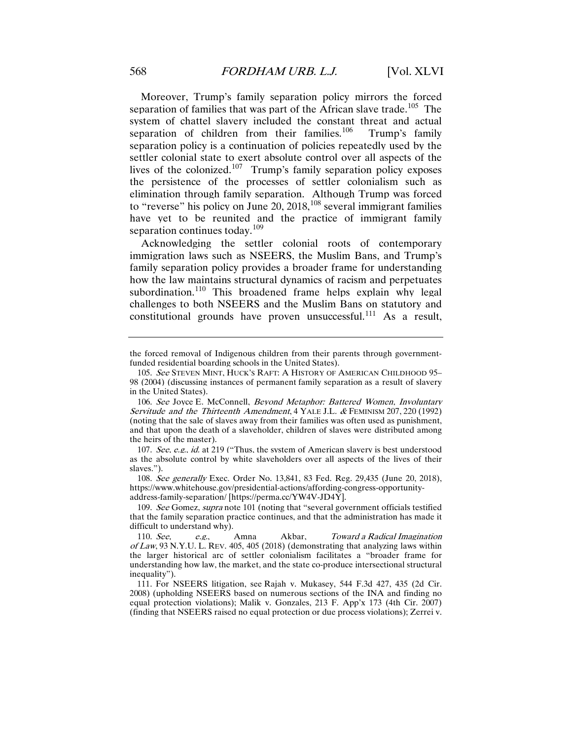Moreover, Trump's family separation policy mirrors the forced separation of families that was part of the African slave trade.<sup>[105](#page-21-0)</sup> The system of chattel slavery included the constant threat and actual separation of children from their families.<sup>106</sup> Trump's family separation policy is a continuation of policies repeatedly used by the settler colonial state to exert absolute control over all aspects of the lives of the colonized.<sup>107</sup> Trump's family separation policy exposes the persistence of the processes of settler colonialism such as elimination through family separation. Although Trump was forced to "reverse" his policy on June 20, 2018,  $^{108}$  $^{108}$  $^{108}$  several immigrant families have yet to be reunited and the practice of immigrant family separation continues today. $109$ 

Acknowledging the settler colonial roots of contemporary immigration laws such as NSEERS, the Muslim Bans, and Trump's family separation policy provides a broader frame for understanding how the law maintains structural dynamics of racism and perpetuates subordination.<sup>[110](#page-21-5)</sup> This broadened frame helps explain why legal challenges to both NSEERS and the Muslim Bans on statutory and constitutional grounds have proven unsuccessful.<sup>[111](#page-21-6)</sup> As a result,

<span id="page-21-3"></span>108. See generally Exec. Order No. 13,841, 83 Fed. Reg. 29,435 (June 20, 2018), https://www.whitehouse.gov/presidential-actions/affording-congress-opportunityaddress-family-separation/ [https://perma.cc/YW4V-JD4Y].

the forced removal of Indigenous children from their parents through governmentfunded residential boarding schools in the United States).

<span id="page-21-0"></span><sup>105.</sup> See STEVEN MINT, HUCK'S RAFT: A HISTORY OF AMERICAN CHILDHOOD 95– 98 (2004) (discussing instances of permanent family separation as a result of slavery in the United States).

<span id="page-21-1"></span><sup>106.</sup> See Joyce E. McConnell, Beyond Metaphor: Battered Women, Involuntary Servitude and the Thirteenth Amendment, 4 YALE J.L. & FEMINISM 207, 220 (1992) (noting that the sale of slaves away from their families was often used as punishment, and that upon the death of a slaveholder, children of slaves were distributed among the heirs of the master).

<span id="page-21-2"></span><sup>107.</sup> See, e.g., id. at 219 ("Thus, the system of American slavery is best understood as the absolute control by white slaveholders over all aspects of the lives of their slaves.").

<span id="page-21-4"></span><sup>109.</sup> See Gomez, supra note 101 (noting that "several government officials testified that the family separation practice continues, and that the administration has made it difficult to understand why).

<span id="page-21-5"></span><sup>110.</sup> See, e.g., Amna Akbar, Toward <sup>a</sup> Radical Imagination of Law, 93 N.Y.U. L. REV. 405, 405 (2018) (demonstrating that analyzing laws within the larger historical arc of settler colonialism facilitates a "broader frame for understanding how law, the market, and the state co-produce intersectional structural inequality").

<span id="page-21-6"></span><sup>111.</sup> For NSEERS litigation, see Rajah v. Mukasey, 544 F.3d 427, 435 (2d Cir. 2008) (upholding NSEERS based on numerous sections of the INA and finding no equal protection violations); Malik v. Gonzales, 213 F. App'x 173 (4th Cir. 2007) (finding that NSEERS raised no equal protection or due process violations); Zerrei v.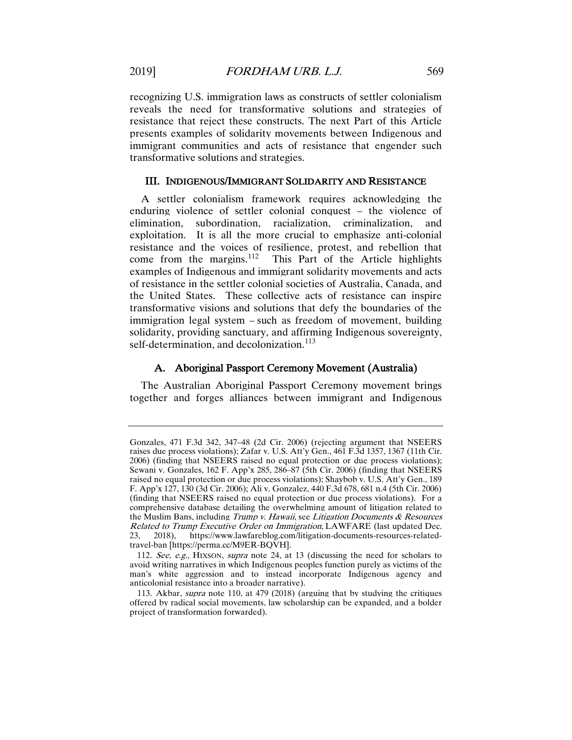recognizing U.S. immigration laws as constructs of settler colonialism reveals the need for transformative solutions and strategies of resistance that reject these constructs. The next Part of this Article presents examples of solidarity movements between Indigenous and immigrant communities and acts of resistance that engender such transformative solutions and strategies.

# III. INDIGENOUS/IMMIGRANT SOLIDARITY AND RESISTANCE

A settler colonialism framework requires acknowledging the enduring violence of settler colonial conquest – the violence of elimination, subordination, racialization, criminalization, and exploitation. It is all the more crucial to emphasize anti-colonial resistance and the voices of resilience, protest, and rebellion that come from the margins. [112](#page-22-0) This Part of the Article highlights examples of Indigenous and immigrant solidarity movements and acts of resistance in the settler colonial societies of Australia, Canada, and the United States. These collective acts of resistance can inspire transformative visions and solutions that defy the boundaries of the immigration legal system – such as freedom of movement, building solidarity, providing sanctuary, and affirming Indigenous sovereignty, self-determination, and decolonization.<sup>[113](#page-22-1)</sup>

# A. Aboriginal Passport Ceremony Movement (Australia)

The Australian Aboriginal Passport Ceremony movement brings together and forges alliances between immigrant and Indigenous

Gonzales, 471 F.3d 342, 347–48 (2d Cir. 2006) (rejecting argument that NSEERS raises due process violations); Zafar v. U.S. Att'y Gen., 461 F.3d 1357, 1367 (11th Cir. 2006) (finding that NSEERS raised no equal protection or due process violations); Sewani v. Gonzales, 162 F. App'x 285, 286–87 (5th Cir. 2006) (finding that NSEERS raised no equal protection or due process violations); Shaybob v. U.S. Att'y Gen., 189 F. App'x 127, 130 (3d Cir. 2006); Ali v. Gonzalez, 440 F.3d 678, 681 n.4 (5th Cir. 2006) (finding that NSEERS raised no equal protection or due process violations). For a comprehensive database detailing the overwhelming amount of litigation related to the Muslim Bans, including Trump v. Hawaii, see Litigation Documents  $\&$  Resources Related to Trump Executive Order on Immigration, LAWFARE (last updated Dec. 23, 2018), https://www.lawfareblog.com/litigation-documents-resources-relatedtravel-ban [https://perma.cc/M9ER-BQVH].

<span id="page-22-0"></span><sup>112.</sup> See, e.g., HIXSON, supra note 24, at 13 (discussing the need for scholars to avoid writing narratives in which Indigenous peoples function purely as victims of the man's white aggression and to instead incorporate Indigenous agency and anticolonial resistance into a broader narrative).

<span id="page-22-1"></span><sup>113.</sup> Akbar, supra note 110, at 479 (2018) (arguing that by studying the critiques offered by radical social movements, law scholarship can be expanded, and a bolder project of transformation forwarded).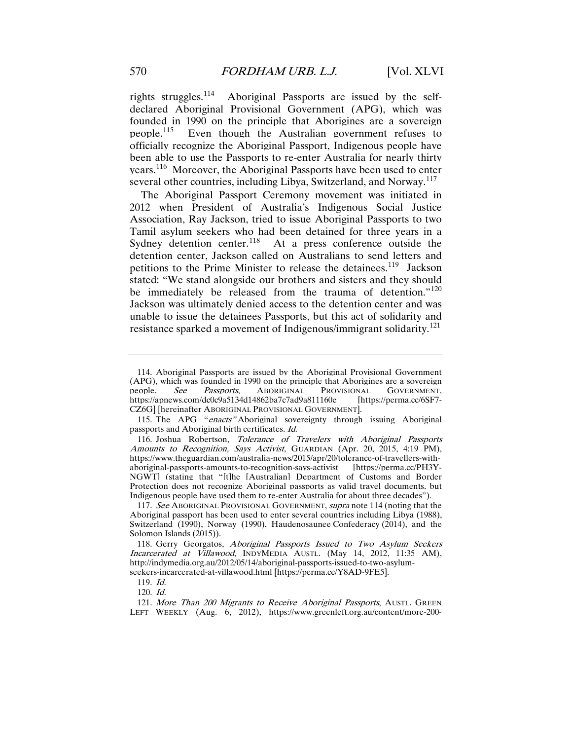rights struggles.[114](#page-23-0) Aboriginal Passports are issued by the selfdeclared Aboriginal Provisional Government (APG), which was founded in 1990 on the principle that Aborigines are a sovereign people.[115](#page-23-1) Even though the Australian government refuses to officially recognize the Aboriginal Passport, Indigenous people have been able to use the Passports to re-enter Australia for nearly thirty years.<sup>116</sup> Moreover, the Aboriginal Passports have been used to enter several other countries, including Libya, Switzerland, and Norway.<sup>[117](#page-23-3)</sup>

The Aboriginal Passport Ceremony movement was initiated in 2012 when President of Australia's Indigenous Social Justice Association, Ray Jackson, tried to issue Aboriginal Passports to two Tamil asylum seekers who had been detained for three years in a Sydney detention center.<sup>118</sup> At a press conference outside the detention center, Jackson called on Australians to send letters and petitions to the Prime Minister to release the detainees.<sup>119</sup> Jackson stated: "We stand alongside our brothers and sisters and they should be immediately be released from the trauma of detention."<sup>[120](#page-23-6)</sup> Jackson was ultimately denied access to the detention center and was unable to issue the detainees Passports, but this act of solidarity and resistance sparked a movement of Indigenous/immigrant solidarity.<sup>[121](#page-23-7)</sup>

120. Id.

<span id="page-23-7"></span><span id="page-23-6"></span><span id="page-23-5"></span>121. More Than 200 Migrants to Receive Aboriginal Passports, AUSTL. GREEN LEFT WEEKLY (Aug. 6, 2012), https://www.greenleft.org.au/content/more-200-

<span id="page-23-0"></span><sup>114.</sup> Aboriginal Passports are issued by the Aboriginal Provisional Government (APG), which was founded in 1990 on the principle that Aborigines are a sovereign people. See Passports, ABORIGINAL PROVISIONAL GOVERNMENT,<br>https://apnews.com/dc0c9a5134d14862ba7c7ad9a811160e [https://perma.cc/6SF7https://apnews.com/dc0c9a5134d14862ba7c7ad9a811160e CZ6G] [hereinafter ABORIGINAL PROVISIONAL GOVERNMENT].

<span id="page-23-1"></span><sup>115.</sup> The APG "enacts" Aboriginal sovereignty through issuing Aboriginal passports and Aboriginal birth certificates. Id.

<span id="page-23-2"></span><sup>116.</sup> Joshua Robertson, Tolerance of Travelers with Aboriginal Passports Amounts to Recognition, Says Activist, GUARDIAN (Apr. 20, 2015, 4:19 PM), https://www.theguardian.com/australia-news/2015/apr/20/tolerance-of-travellers-withaboriginal-passports-amounts-to-recognition-says-activist [https://perma.cc/PH3Y-NGWT] (stating that "[t]he [Australian] Department of Customs and Border Protection does not recognize Aboriginal passports as valid travel documents, but Indigenous people have used them to re-enter Australia for about three decades").

<span id="page-23-3"></span><sup>117.</sup> See ABORIGINAL PROVISIONAL GOVERNMENT, *supra* note 114 (noting that the Aboriginal passport has been used to enter several countries including Libya (1988), Switzerland (1990), Norway (1990), Haudenosaunee Confederacy (2014), and the Solomon Islands (2015)).

<span id="page-23-4"></span><sup>118.</sup> Gerry Georgatos, Aboriginal Passports Issued to Two Asylum Seekers Incarcerated at Villawood, INDYMEDIA AUSTL. (May 14, 2012, 11:35 AM), http://indymedia.org.au/2012/05/14/aboriginal-passports-issued-to-two-asylumseekers-incarcerated-at-villawood.html [https://perma.cc/Y8AD-9FE5].

<sup>119.</sup> Id.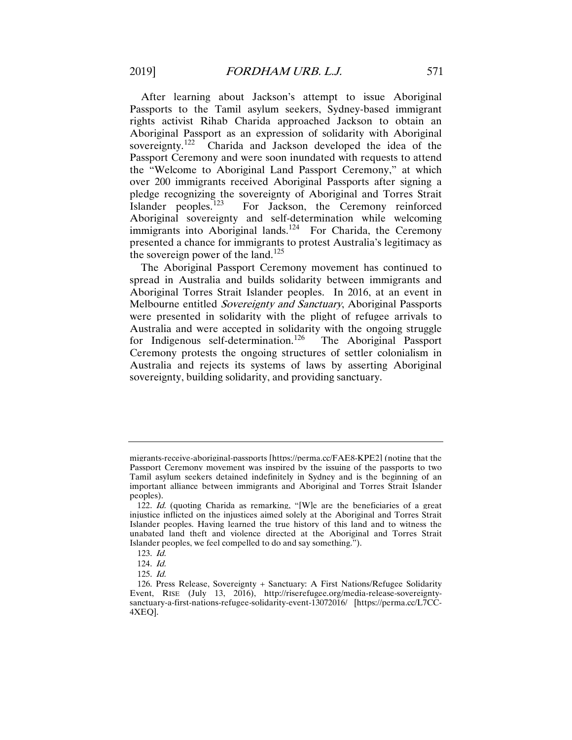After learning about Jackson's attempt to issue Aboriginal Passports to the Tamil asylum seekers, Sydney-based immigrant rights activist Rihab Charida approached Jackson to obtain an Aboriginal Passport as an expression of solidarity with Aboriginal sovereignty.<sup>122</sup> Charida and Jackson developed the idea of the Passport Ceremony and were soon inundated with requests to attend the "Welcome to Aboriginal Land Passport Ceremony," at which over 200 immigrants received Aboriginal Passports after signing a pledge recognizing the sovereignty of Aboriginal and Torres Strait Islander peoples.<sup>123</sup> For Jackson, the Ceremony reinforced Aboriginal sovereignty and self-determination while welcoming immigrants into Aboriginal lands.<sup>124</sup> For Charida, the Ceremony presented a chance for immigrants to protest Australia's legitimacy as the sovereign power of the land.<sup>[125](#page-24-3)</sup>

The Aboriginal Passport Ceremony movement has continued to spread in Australia and builds solidarity between immigrants and Aboriginal Torres Strait Islander peoples. In 2016, at an event in Melbourne entitled Sovereignty and Sanctuary, Aboriginal Passports were presented in solidarity with the plight of refugee arrivals to Australia and were accepted in solidarity with the ongoing struggle for Indigenous self-determination.<sup>[126](#page-24-4)</sup> The Aboriginal Passport Ceremony protests the ongoing structures of settler colonialism in Australia and rejects its systems of laws by asserting Aboriginal sovereignty, building solidarity, and providing sanctuary.

migrants-receive-aboriginal-passports [https://perma.cc/FAE8-KPE2] (noting that the Passport Ceremony movement was inspired by the issuing of the passports to two Tamil asylum seekers detained indefinitely in Sydney and is the beginning of an important alliance between immigrants and Aboriginal and Torres Strait Islander peoples).

<span id="page-24-0"></span><sup>122.</sup> Id. (quoting Charida as remarking, "[W]e are the beneficiaries of a great injustice inflicted on the injustices aimed solely at the Aboriginal and Torres Strait Islander peoples. Having learned the true history of this land and to witness the unabated land theft and violence directed at the Aboriginal and Torres Strait Islander peoples, we feel compelled to do and say something.").

<sup>123.</sup> Id.

<sup>124.</sup> Id.

<sup>125.</sup> Id.

<span id="page-24-4"></span><span id="page-24-3"></span><span id="page-24-2"></span><span id="page-24-1"></span><sup>126.</sup> Press Release, Sovereignty + Sanctuary: A First Nations/Refugee Solidarity Event, RISE (July 13, 2016), http://riserefugee.org/media-release-sovereigntysanctuary-a-first-nations-refugee-solidarity-event-13072016/ [https://perma.cc/L7CC-4XEQ].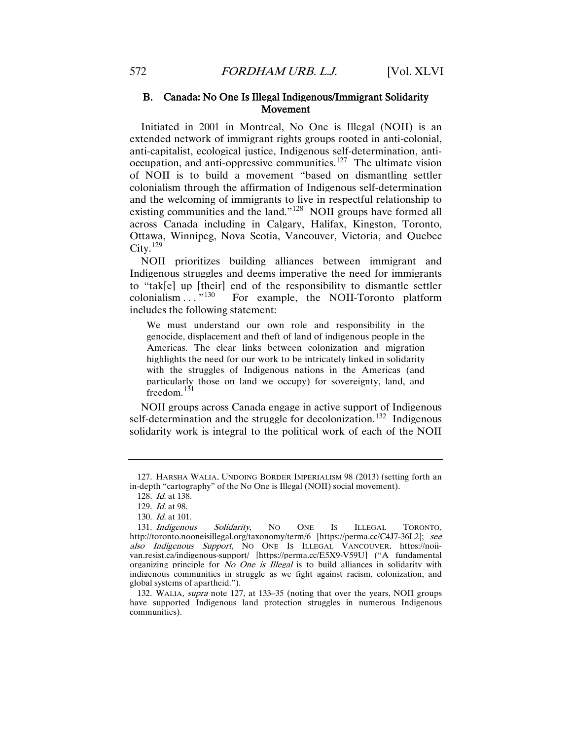# B. Canada: No One Is Illegal Indigenous/Immigrant Solidarity Movement

Initiated in 2001 in Montreal, No One is Illegal (NOII) is an extended network of immigrant rights groups rooted in anti-colonial, anti-capitalist, ecological justice, Indigenous self-determination, antioccupation, and anti-oppressive communities.[127](#page-25-0) The ultimate vision of NOII is to build a movement "based on dismantling settler colonialism through the affirmation of Indigenous self-determination and the welcoming of immigrants to live in respectful relationship to existing communities and the land."<sup>128</sup> NOII groups have formed all across Canada including in Calgary, Halifax, Kingston, Toronto, Ottawa, Winnipeg, Nova Scotia, Vancouver, Victoria, and Quebec  $Citv.<sup>129</sup>$  $Citv.<sup>129</sup>$  $Citv.<sup>129</sup>$ 

NOII prioritizes building alliances between immigrant and Indigenous struggles and deems imperative the need for immigrants to "tak[e] up [their] end of the responsibility to dismantle settler colonialism  $\dots$  "<sup>130</sup> For example, the NOII-Toronto platform For example, the NOII-Toronto platform includes the following statement:

We must understand our own role and responsibility in the genocide, displacement and theft of land of indigenous people in the Americas. The clear links between colonization and migration highlights the need for our work to be intricately linked in solidarity with the struggles of Indigenous nations in the Americas (and particularly those on land we occupy) for sovereignty, land, and freedom. $131$ 

NOII groups across Canada engage in active support of Indigenous self-determination and the struggle for decolonization.<sup>132</sup> Indigenous solidarity work is integral to the political work of each of the NOII

<span id="page-25-1"></span><span id="page-25-0"></span><sup>127.</sup> HARSHA WALIA, UNDOING BORDER IMPERIALISM 98 (2013) (setting forth an in-depth "cartography" of the No One is Illegal (NOII) social movement).

<sup>128.</sup> Id. at 138.

<sup>129.</sup> Id. at 98.

<sup>130.</sup> Id. at 101.

<span id="page-25-4"></span><span id="page-25-3"></span><span id="page-25-2"></span><sup>131.</sup> Indigenous Solidarity, No ONE Is ILLEGAL TORONTO, http://toronto.nooneisillegal.org/taxonomy/term/6 [https://perma.cc/C4J7-36L2]; see also Indigenous Support, NO ONE IS ILLEGAL VANCOUVER, https://noiivan.resist.ca/indigenous-support/ [https://perma.cc/E5X9-V59U] ("A fundamental organizing principle for No One is Illegal is to build alliances in solidarity with indigenous communities in struggle as we fight against racism, colonization, and global systems of apartheid.").

<span id="page-25-5"></span><sup>132.</sup> WALIA, supra note 127, at 133–35 (noting that over the years, NOII groups have supported Indigenous land protection struggles in numerous Indigenous communities).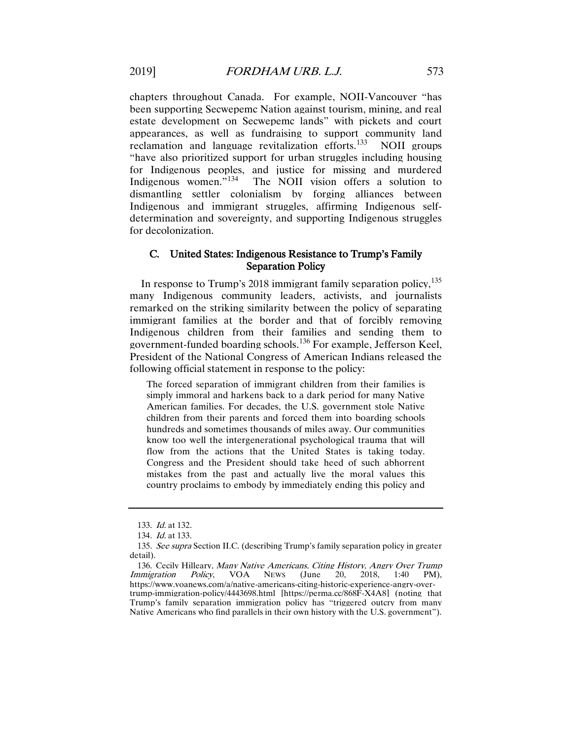chapters throughout Canada. For example, NOII-Vancouver "has been supporting Secwepemc Nation against tourism, mining, and real estate development on Secwepemc lands" with pickets and court appearances, as well as fundraising to support community land reclamation and language revitalization efforts. $^{133}$  $^{133}$  $^{133}$  NOII groups "have also prioritized support for urban struggles including housing for Indigenous peoples, and justice for missing and murdered Indigenous women."<sup>134</sup> The NOII vision offers a solution to The NOII vision offers a solution to dismantling settler colonialism by forging alliances between Indigenous and immigrant struggles, affirming Indigenous selfdetermination and sovereignty, and supporting Indigenous struggles for decolonization.

# C. United States: Indigenous Resistance to Trump's Family Separation Policy

In response to Trump's 2018 immigrant family separation policy,  $135$ many Indigenous community leaders, activists, and journalists remarked on the striking similarity between the policy of separating immigrant families at the border and that of forcibly removing Indigenous children from their families and sending them to government-funded boarding schools.[136](#page-26-3) For example, Jefferson Keel, President of the National Congress of American Indians released the following official statement in response to the policy:

The forced separation of immigrant children from their families is simply immoral and harkens back to a dark period for many Native American families. For decades, the U.S. government stole Native children from their parents and forced them into boarding schools hundreds and sometimes thousands of miles away. Our communities know too well the intergenerational psychological trauma that will flow from the actions that the United States is taking today. Congress and the President should take heed of such abhorrent mistakes from the past and actually live the moral values this country proclaims to embody by immediately ending this policy and

<sup>133.</sup> Id. at 132.

<sup>134.</sup> Id. at 133.

<span id="page-26-2"></span><span id="page-26-1"></span><span id="page-26-0"></span><sup>135.</sup> See supra Section II.C. (describing Trump's family separation policy in greater detail).

<span id="page-26-3"></span><sup>136.</sup> Cecily Hilleary, *Many Native Americans, Citing History, Angry Over Trump* numigration Policy, VOA News (June 20, 2018, 1:40 PM), Immigration Policy, VOA NEWS (June 20, 2018, 1:40 PM), https://www.voanews.com/a/native-americans-citing-historic-experience-angry-overtrump-immigration-policy/4443698.html [https://perma.cc/868F-X4A8] (noting that Trump's family separation immigration policy has "triggered outcry from many Native Americans who find parallels in their own history with the U.S. government").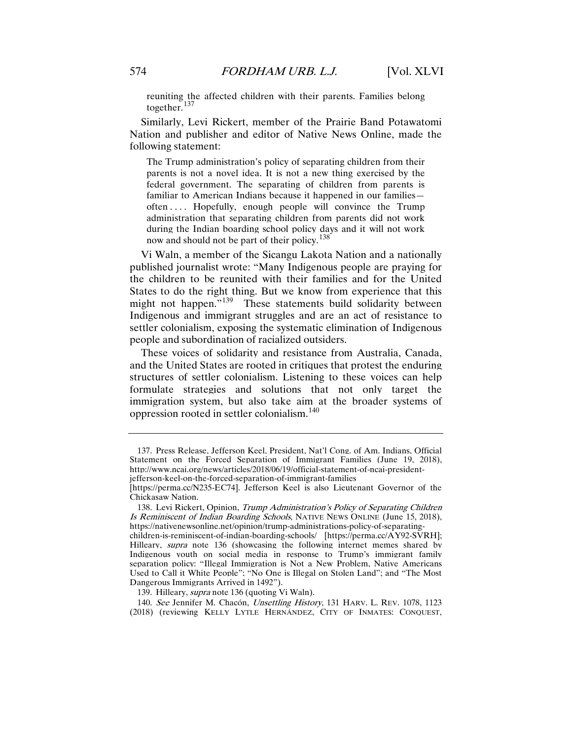reuniting the affected children with their parents. Families belong together. $137$ 

Similarly, Levi Rickert, member of the Prairie Band Potawatomi Nation and publisher and editor of Native News Online, made the following statement:

The Trump administration's policy of separating children from their parents is not a novel idea. It is not a new thing exercised by the federal government. The separating of children from parents is familiar to American Indians because it happened in our families often . . . . Hopefully, enough people will convince the Trump administration that separating children from parents did not work during the Indian boarding school policy days and it will not work now and should not be part of their policy.<sup>[138](#page-27-1)</sup>

Vi Waln, a member of the Sicangu Lakota Nation and a nationally published journalist wrote: "Many Indigenous people are praying for the children to be reunited with their families and for the United States to do the right thing. But we know from experience that this might not happen."<sup>139</sup> These statements build solidarity between Indigenous and immigrant struggles and are an act of resistance to settler colonialism, exposing the systematic elimination of Indigenous people and subordination of racialized outsiders.

These voices of solidarity and resistance from Australia, Canada, and the United States are rooted in critiques that protest the enduring structures of settler colonialism. Listening to these voices can help formulate strategies and solutions that not only target the immigration system, but also take aim at the broader systems of oppression rooted in settler colonialism.[140](#page-27-3)

139. Hilleary, supra note 136 (quoting Vi Waln).

<span id="page-27-3"></span><span id="page-27-2"></span>140. See Jennifer M. Chacón, Unsettling History, 131 HARV. L. REV. 1078, 1123 (2018) (reviewing KELLY LYTLE HERNÁNDEZ, CITY OF INMATES: CONQUEST,

<span id="page-27-0"></span><sup>137.</sup> Press Release, Jefferson Keel, President, Nat'l Cong. of Am. Indians, Official Statement on the Forced Separation of Immigrant Families (June 19, 2018), http://www.ncai.org/news/articles/2018/06/19/official-statement-of-ncai-presidentjefferson-keel-on-the-forced-separation-of-immigrant-families

<sup>[</sup>https://perma.cc/N235-EC74]. Jefferson Keel is also Lieutenant Governor of the Chickasaw Nation.

<span id="page-27-1"></span><sup>138.</sup> Levi Rickert, Opinion, Trump Administration's Policy of Separating Children Is Reminiscent of Indian Boarding Schools, NATIVE NEWS ONLINE (June 15, 2018), https://nativenewsonline.net/opinion/trump-administrations-policy-of-separating-

children-is-reminiscent-of-indian-boarding-schools/ [https://perma.cc/AY92-SVRH]; Hilleary, supra note 136 (showcasing the following internet memes shared by Indigenous youth on social media in response to Trump's immigrant family separation policy: "Illegal Immigration is Not a New Problem, Native Americans Used to Call it White People"; "No One is Illegal on Stolen Land"; and "The Most Dangerous Immigrants Arrived in 1492").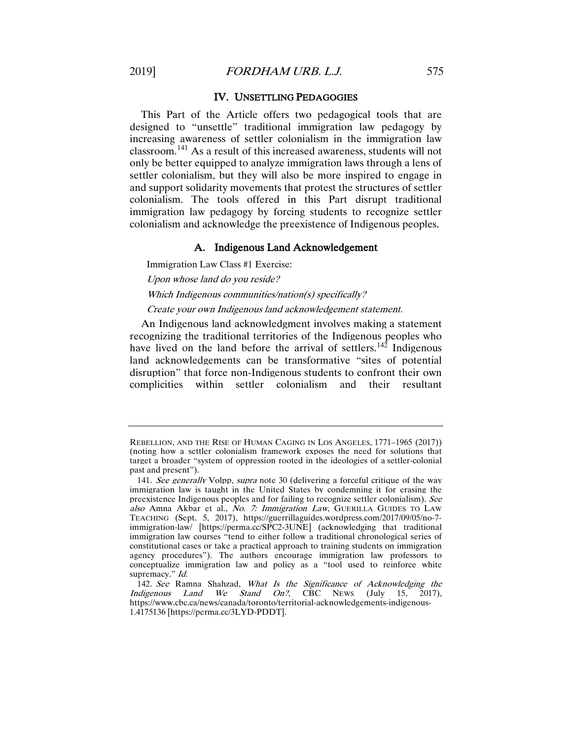# IV. UNSETTLING PEDAGOGIES

This Part of the Article offers two pedagogical tools that are designed to "unsettle" traditional immigration law pedagogy by increasing awareness of settler colonialism in the immigration law classroom.[141](#page-28-0) As a result of this increased awareness, students will not only be better equipped to analyze immigration laws through a lens of settler colonialism, but they will also be more inspired to engage in and support solidarity movements that protest the structures of settler colonialism. The tools offered in this Part disrupt traditional immigration law pedagogy by forcing students to recognize settler colonialism and acknowledge the preexistence of Indigenous peoples.

# A. Indigenous Land Acknowledgement

Immigration Law Class #1 Exercise:

Upon whose land do you reside?

Which Indigenous communities/nation(s) specifically?

# Create your own Indigenous land acknowledgement statement.

An Indigenous land acknowledgment involves making a statement recognizing the traditional territories of the Indigenous peoples who have lived on the land before the arrival of settlers.<sup>[142](#page-28-1)</sup> Indigenous land acknowledgements can be transformative "sites of potential disruption" that force non-Indigenous students to confront their own complicities within settler colonialism and their resultant

REBELLION, AND THE RISE OF HUMAN CAGING IN LOS ANGELES, 1771–1965 (2017)) (noting how a settler colonialism framework exposes the need for solutions that target a broader "system of oppression rooted in the ideologies of a settler-colonial past and present").

<span id="page-28-0"></span><sup>141.</sup> See generally Volpp, supra note 30 (delivering a forceful critique of the way immigration law is taught in the United States by condemning it for erasing the preexistence Indigenous peoples and for failing to recognize settler colonialism). See also Amna Akbar et al., No. 7: Immigration Law, GUERILLA GUIDES TO LAW TEACHING (Sept. 5, 2017), https://guerrillaguides.wordpress.com/2017/09/05/no-7 immigration-law/ [https://perma.cc/SPC2-3UNE] (acknowledging that traditional immigration law courses "tend to either follow a traditional chronological series of constitutional cases or take a practical approach to training students on immigration agency procedures"). The authors encourage immigration law professors to conceptualize immigration law and policy as a "tool used to reinforce white supremacy." *Id.* 

<span id="page-28-1"></span><sup>142.</sup> See Ramna Shahzad, What Is the Significance of Acknowledging the Indigenous Land We Stand On?, CBC NEWS (July 15, 2017), https://www.cbc.ca/news/canada/toronto/territorial-acknowledgements-indigenous-1.4175136 [https://perma.cc/3LYD-PDDT].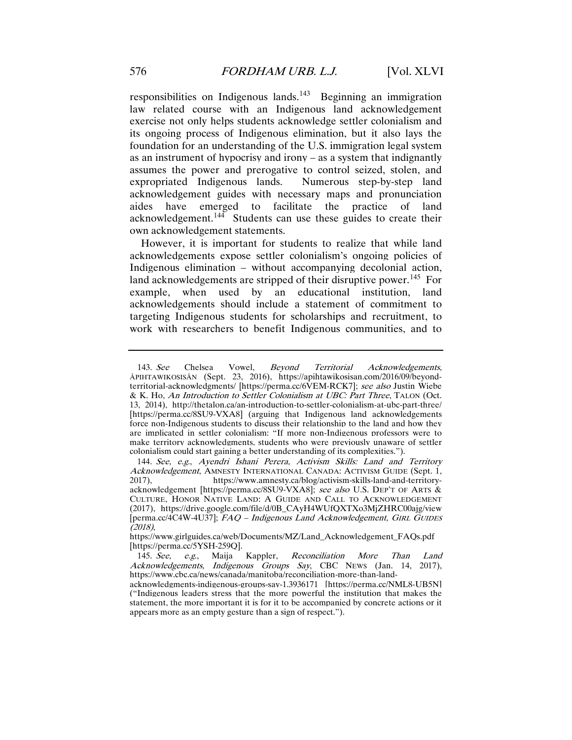responsibilities on Indigenous lands.<sup>[143](#page-29-0)</sup> Beginning an immigration law related course with an Indigenous land acknowledgement exercise not only helps students acknowledge settler colonialism and its ongoing process of Indigenous elimination, but it also lays the foundation for an understanding of the U.S. immigration legal system as an instrument of hypocrisy and irony – as a system that indignantly assumes the power and prerogative to control seized, stolen, and expropriated Indigenous lands. Numerous step-by-step land acknowledgement guides with necessary maps and pronunciation aides have emerged to facilitate the practice of land acknowledgement.[144](#page-29-1) Students can use these guides to create their own acknowledgement statements.

However, it is important for students to realize that while land acknowledgements expose settler colonialism's ongoing policies of Indigenous elimination – without accompanying decolonial action, land acknowledgements are stripped of their disruptive power.<sup>[145](#page-29-2)</sup> For example, when used by an educational institution, land acknowledgements should include a statement of commitment to targeting Indigenous students for scholarships and recruitment, to work with researchers to benefit Indigenous communities, and to

<span id="page-29-0"></span><sup>143.</sup> See Chelsea Vowel, Beyond Territorial Acknowledgements, ÂPIHTAWIKOSISÂN (Sept. 23, 2016), https://apihtawikosisan.com/2016/09/beyondterritorial-acknowledgments/ [https://perma.cc/6VEM-RCK7]; see also Justin Wiebe & K. Ho, An Introduction to Settler Colonialism at UBC: Part Three, TALON (Oct. 13, 2014), http://thetalon.ca/an-introduction-to-settler-colonialism-at-ubc-part-three/ [https://perma.cc/8SU9-VXA8] (arguing that Indigenous land acknowledgements force non-Indigenous students to discuss their relationship to the land and how they are implicated in settler colonialism: "If more non-Indigenous professors were to make territory acknowledgments, students who were previously unaware of settler colonialism could start gaining a better understanding of its complexities.").

<span id="page-29-1"></span><sup>144.</sup> See, e.g., Ayendri Ishani Perera, Activism Skills: Land and Territory Acknowledgement, AMNESTY INTERNATIONAL CANADA: ACTIVISM GUIDE (Sept. 1, 2017), https://www.amnesty.ca/blog/activism-skills-land-and-territoryacknowledgement [https://perma.cc/8SU9-VXA8]; see also U.S. DEP'T OF ARTS & CULTURE, HONOR NATIVE LAND: A GUIDE AND CALL TO ACKNOWLEDGEMENT (2017), https://drive.google.com/file/d/0B\_CAyH4WUfQXTXo3MjZHRC00ajg/view [perma.cc/4C4W-4U37]; FAQ – Indigenous Land Acknowledgement, GIRL GUIDES (2018),

https://www.girlguides.ca/web/Documents/MZ/Land\_Acknowledgement\_FAQs.pdf [https://perma.cc/5YSH-259Q].

<span id="page-29-2"></span><sup>145.</sup> See, e.g., Maija Kappler, Reconciliation More Than Land Acknowledgements, Indigenous Groups Say, CBC NEWS (Jan. 14, 2017), https://www.cbc.ca/news/canada/manitoba/reconciliation-more-than-land-

acknowledgments-indigenous-groups-say-1.3936171 [https://perma.cc/NML8-UB5N] ("Indigenous leaders stress that the more powerful the institution that makes the statement, the more important it is for it to be accompanied by concrete actions or it appears more as an empty gesture than a sign of respect.").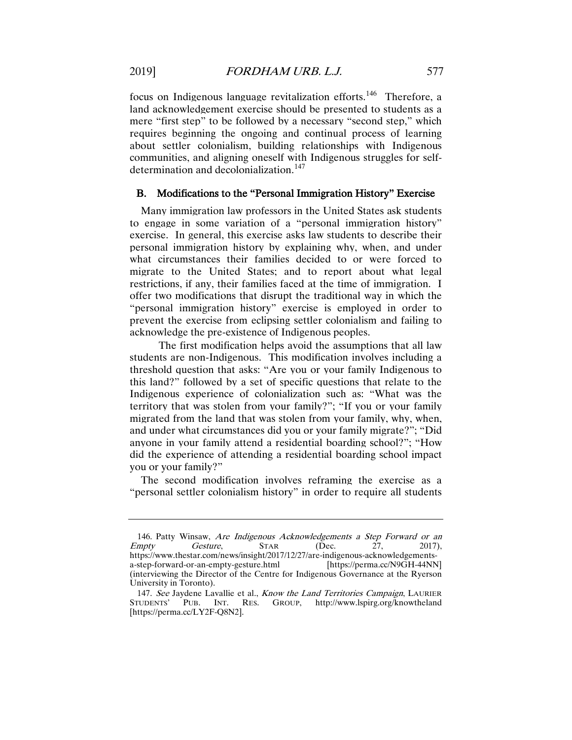focus on Indigenous language revitalization efforts.<sup>[146](#page-30-0)</sup> Therefore, a land acknowledgement exercise should be presented to students as a mere "first step" to be followed by a necessary "second step," which requires beginning the ongoing and continual process of learning about settler colonialism, building relationships with Indigenous communities, and aligning oneself with Indigenous struggles for self-determination and decolonialization.<sup>[147](#page-30-1)</sup>

# B. Modifications to the "Personal Immigration History" Exercise

Many immigration law professors in the United States ask students to engage in some variation of a "personal immigration history" exercise. In general, this exercise asks law students to describe their personal immigration history by explaining why, when, and under what circumstances their families decided to or were forced to migrate to the United States; and to report about what legal restrictions, if any, their families faced at the time of immigration. I offer two modifications that disrupt the traditional way in which the "personal immigration history" exercise is employed in order to prevent the exercise from eclipsing settler colonialism and failing to acknowledge the pre-existence of Indigenous peoples.

The first modification helps avoid the assumptions that all law students are non-Indigenous. This modification involves including a threshold question that asks: "Are you or your family Indigenous to this land?" followed by a set of specific questions that relate to the Indigenous experience of colonialization such as: "What was the territory that was stolen from your family?"; "If you or your family migrated from the land that was stolen from your family, why, when, and under what circumstances did you or your family migrate?"; "Did anyone in your family attend a residential boarding school?"; "How did the experience of attending a residential boarding school impact you or your family?"

The second modification involves reframing the exercise as a "personal settler colonialism history" in order to require all students

<span id="page-30-0"></span><sup>146.</sup> Patty Winsaw, *Are Indigenous Acknowledgements a Step Forward or an* mpty Gesture, STAR (Dec. 27, 2017), Empty Gesture, STAR (Dec. 27, 2017), https://www.thestar.com/news/insight/2017/12/27/are-indigenous-acknowledgementsa-step-forward-or-an-empty-gesture.html [https://perma.cc/N9GH-44NN] (interviewing the Director of the Centre for Indigenous Governance at the Ryerson University in Toronto).

<span id="page-30-1"></span><sup>147.</sup> See Jaydene Lavallie et al., Know the Land Territories Campaign, LAURIER STUDENTS' PUB. INT. RES. GROUP, http://www.lspirg.org/knowtheland PUB. INT. RES. GROUP, http://www.lspirg.org/knowtheland [https://perma.cc/LY2F-Q8N2].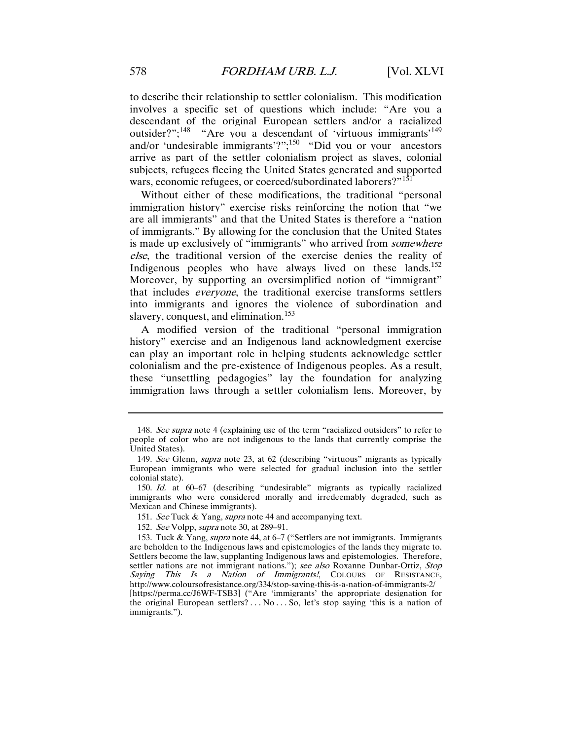to describe their relationship to settler colonialism. This modification involves a specific set of questions which include: "Are you a descendant of the original European settlers and/or a racialized outsider?";<sup>148</sup> "Are you a descendant of 'virtuous immigrants'<sup>[149](#page-31-1)</sup> and/or 'undesirable immigrants'?";[150](#page-31-2) "Did you or your ancestors arrive as part of the settler colonialism project as slaves, colonial subjects, refugees fleeing the United States generated and supported wars, economic refugees, or coerced/subordinated laborers?"<sup>[151](#page-31-3)</sup>

Without either of these modifications, the traditional "personal immigration history" exercise risks reinforcing the notion that "we are all immigrants" and that the United States is therefore a "nation of immigrants." By allowing for the conclusion that the United States is made up exclusively of "immigrants" who arrived from *somewhere* else, the traditional version of the exercise denies the reality of Indigenous peoples who have always lived on these lands.<sup>[152](#page-31-4)</sup> Moreover, by supporting an oversimplified notion of "immigrant" that includes everyone, the traditional exercise transforms settlers into immigrants and ignores the violence of subordination and slavery, conquest, and elimination.<sup>[153](#page-31-5)</sup>

A modified version of the traditional "personal immigration history" exercise and an Indigenous land acknowledgment exercise can play an important role in helping students acknowledge settler colonialism and the pre-existence of Indigenous peoples. As a result, these "unsettling pedagogies" lay the foundation for analyzing immigration laws through a settler colonialism lens. Moreover, by

<span id="page-31-0"></span><sup>148.</sup> See supra note 4 (explaining use of the term "racialized outsiders" to refer to people of color who are not indigenous to the lands that currently comprise the United States).

<span id="page-31-1"></span><sup>149.</sup> See Glenn, supra note 23, at 62 (describing "virtuous" migrants as typically European immigrants who were selected for gradual inclusion into the settler colonial state).

<span id="page-31-2"></span><sup>150.</sup> Id. at 60–67 (describing "undesirable" migrants as typically racialized immigrants who were considered morally and irredeemably degraded, such as Mexican and Chinese immigrants).

<sup>151.</sup> See Tuck & Yang, supra note 44 and accompanying text.

<sup>152.</sup> See Volpp, supra note 30, at 289–91.

<span id="page-31-5"></span><span id="page-31-4"></span><span id="page-31-3"></span><sup>153.</sup> Tuck & Yang, supra note 44, at 6–7 ("Settlers are not immigrants. Immigrants are beholden to the Indigenous laws and epistemologies of the lands they migrate to. Settlers become the law, supplanting Indigenous laws and epistemologies. Therefore, settler nations are not immigrant nations."); see also Roxanne Dunbar-Ortiz, Stop Saying This Is a Nation of Immigrants!, COLOURS OF RESISTANCE, http://www.coloursofresistance.org/334/stop-saying-this-is-a-nation-of-immigrants-2/ [https://perma.cc/J6WF-TSB3] ("Are 'immigrants' the appropriate designation for the original European settlers?  $\dots$  No  $\dots$  So, let's stop saying 'this is a nation of immigrants.").